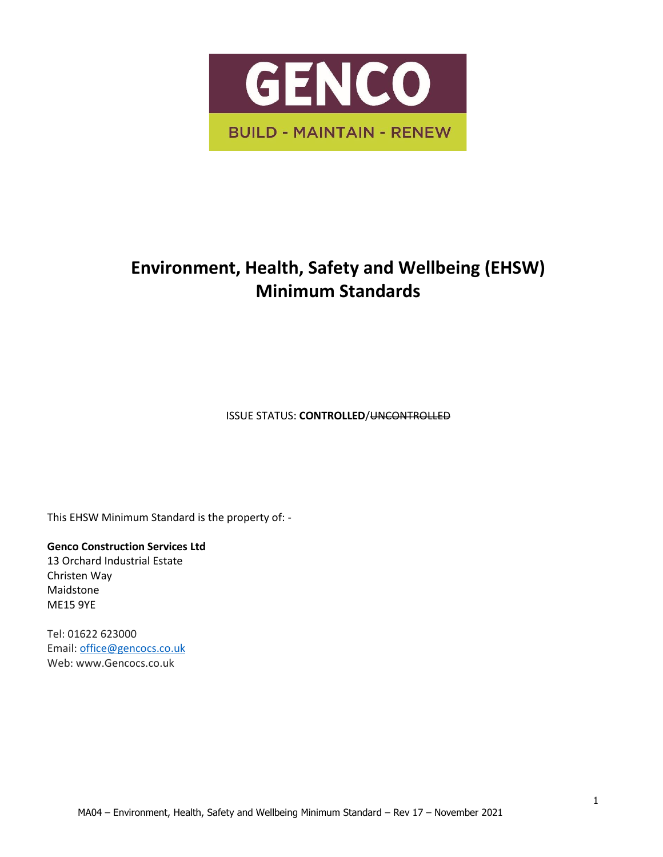

# **Environment, Health, Safety and Wellbeing (EHSW) Minimum Standards**

**ISSUE STATUS: CONTROLLED/UNCONTROLLED** 

This EHSW Minimum Standard is the property of: -

**Genco Construction Services Ltd**

13 Orchard Industrial Estate Christen Way Maidstone ME15 9YE

Tel: 01622 623000 Email[: office@gencocs.co.uk](mailto:office@gencocs.co.uk) Web: www.Gencocs.co.uk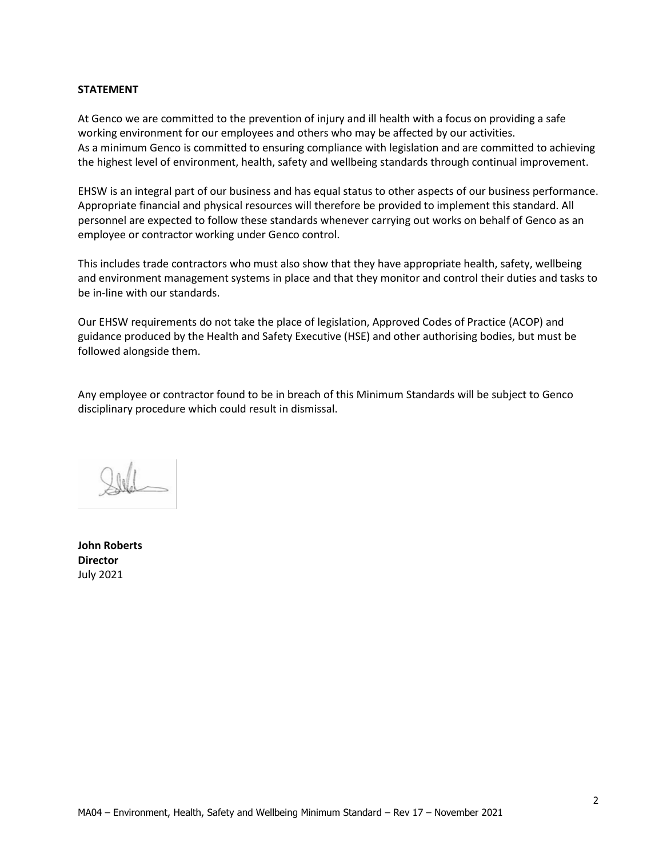#### **STATEMENT**

At Genco we are committed to the prevention of injury and ill health with a focus on providing a safe working environment for our employees and others who may be affected by our activities. As a minimum Genco is committed to ensuring compliance with legislation and are committed to achieving the highest level of environment, health, safety and wellbeing standards through continual improvement.

EHSW is an integral part of our business and has equal status to other aspects of our business performance. Appropriate financial and physical resources will therefore be provided to implement this standard. All personnel are expected to follow these standards whenever carrying out works on behalf of Genco as an employee or contractor working under Genco control.

This includes trade contractors who must also show that they have appropriate health, safety, wellbeing and environment management systems in place and that they monitor and control their duties and tasks to be in-line with our standards.

Our EHSW requirements do not take the place of legislation, Approved Codes of Practice (ACOP) and guidance produced by the Health and Safety Executive (HSE) and other authorising bodies, but must be followed alongside them.

Any employee or contractor found to be in breach of this Minimum Standards will be subject to Genco disciplinary procedure which could result in dismissal.

**John Roberts Director**  July 2021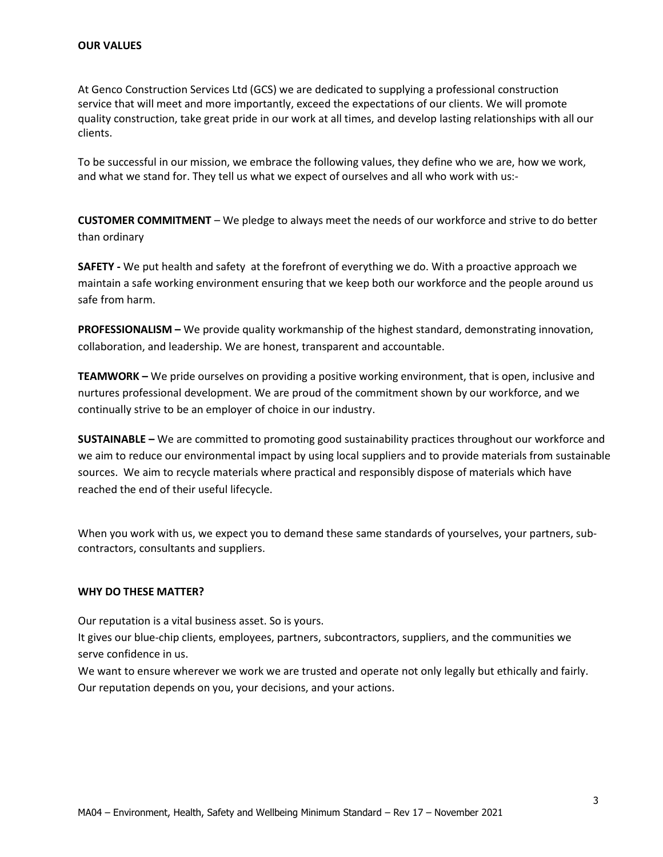At Genco Construction Services Ltd (GCS) we are dedicated to supplying a professional construction service that will meet and more importantly, exceed the expectations of our clients. We will promote quality construction, take great pride in our work at all times, and develop lasting relationships with all our clients.

To be successful in our mission, we embrace the following values, they define who we are, how we work, and what we stand for. They tell us what we expect of ourselves and all who work with us:-

**CUSTOMER COMMITMENT** – We pledge to always meet the needs of our workforce and strive to do better than ordinary

**SAFETY -** We put health and safety at the forefront of everything we do. With a proactive approach we maintain a safe working environment ensuring that we keep both our workforce and the people around us safe from harm.

**PROFESSIONALISM –** We provide quality workmanship of the highest standard, demonstrating innovation, collaboration, and leadership. We are honest, transparent and accountable.

**TEAMWORK –** We pride ourselves on providing a positive working environment, that is open, inclusive and nurtures professional development. We are proud of the commitment shown by our workforce, and we continually strive to be an employer of choice in our industry.

**SUSTAINABLE –** We are committed to promoting good sustainability practices throughout our workforce and we aim to reduce our environmental impact by using local suppliers and to provide materials from sustainable sources. We aim to recycle materials where practical and responsibly dispose of materials which have reached the end of their useful lifecycle.

When you work with us, we expect you to demand these same standards of yourselves, your partners, subcontractors, consultants and suppliers.

#### **WHY DO THESE MATTER?**

Our reputation is a vital business asset. So is yours.

It gives our blue-chip clients, employees, partners, subcontractors, suppliers, and the communities we serve confidence in us.

We want to ensure wherever we work we are trusted and operate not only legally but ethically and fairly. Our reputation depends on you, your decisions, and your actions.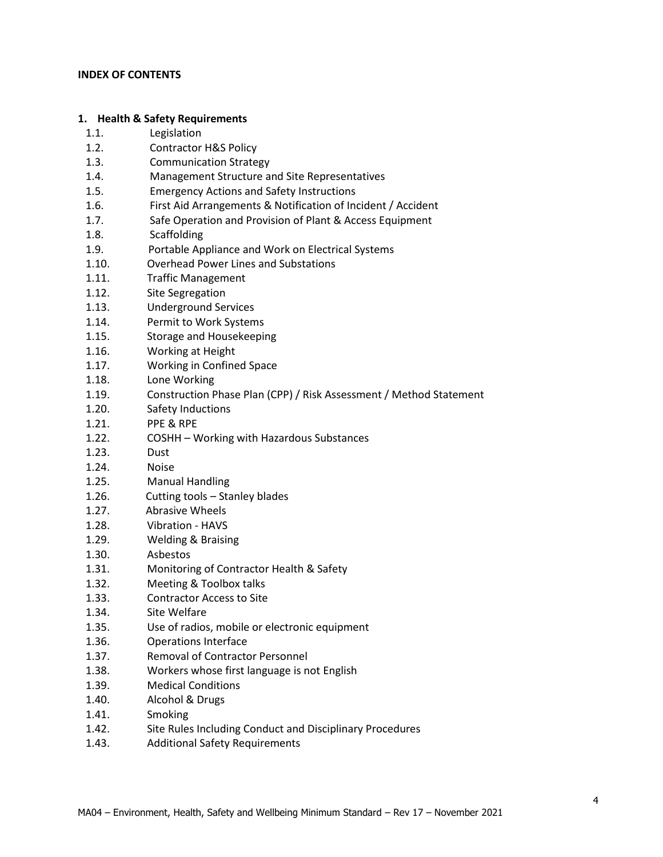#### **INDEX OF CONTENTS**

#### **1. Health & Safety Requirements**

- 1.1. Legislation
- 1.2. Contractor H&S Policy
- 1.3. Communication Strategy
- 1.4. Management Structure and Site Representatives
- 1.5. Emergency Actions and Safety Instructions
- 1.6. First Aid Arrangements & Notification of Incident / Accident
- 1.7. Safe Operation and Provision of Plant & Access Equipment
- 1.8. Scaffolding
- 1.9. Portable Appliance and Work on Electrical Systems
- 1.10. Overhead Power Lines and Substations
- 1.11. Traffic Management
- 1.12. Site Segregation
- 1.13. Underground Services
- 1.14. Permit to Work Systems
- 1.15. Storage and Housekeeping
- 1.16. Working at Height
- 1.17. Working in Confined Space
- 1.18. Lone Working
- 1.19. Construction Phase Plan (CPP) / Risk Assessment / Method Statement
- 1.20. Safety Inductions
- 1.21. PPE & RPE
- 1.22. COSHH Working with Hazardous Substances
- 1.23. Dust
- 1.24. Noise
- 1.25. Manual Handling
- 1.26. Cutting tools Stanley blades
- 1.27. Abrasive Wheels
- 1.28. Vibration HAVS
- 1.29. Welding & Braising
- 1.30. Asbestos
- 1.31. Monitoring of Contractor Health & Safety
- 1.32. Meeting & Toolbox talks
- 1.33. Contractor Access to Site
- 1.34. Site Welfare
- 1.35. Use of radios, mobile or electronic equipment
- 1.36. Operations Interface
- 1.37. Removal of Contractor Personnel
- 1.38. Workers whose first language is not English
- 1.39. Medical Conditions
- 1.40. Alcohol & Drugs
- 1.41. Smoking
- 1.42. Site Rules Including Conduct and Disciplinary Procedures
- 1.43. Additional Safety Requirements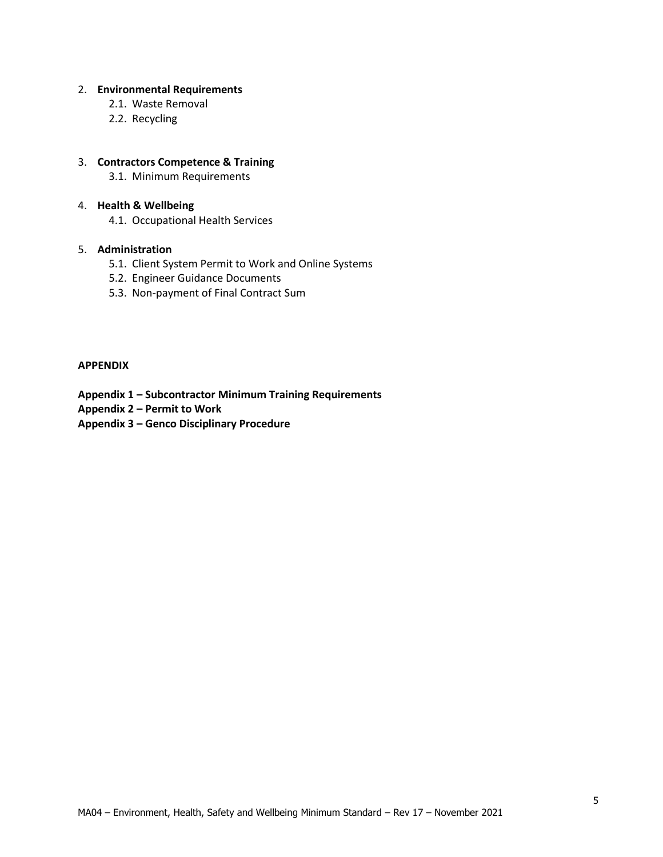#### 2. **Environmental Requirements**

- 2.1. Waste Removal
- 2.2. Recycling

## 3. **Contractors Competence & Training**

3.1. Minimum Requirements

#### 4. **Health & Wellbeing**

4.1. Occupational Health Services

#### 5. **Administration**

- 5.1. Client System Permit to Work and Online Systems
- 5.2. Engineer Guidance Documents
- 5.3. Non-payment of Final Contract Sum

## **APPENDIX**

- **Appendix 1 – Subcontractor Minimum Training Requirements**
- **Appendix 2 – Permit to Work**
- **Appendix 3 – Genco Disciplinary Procedure**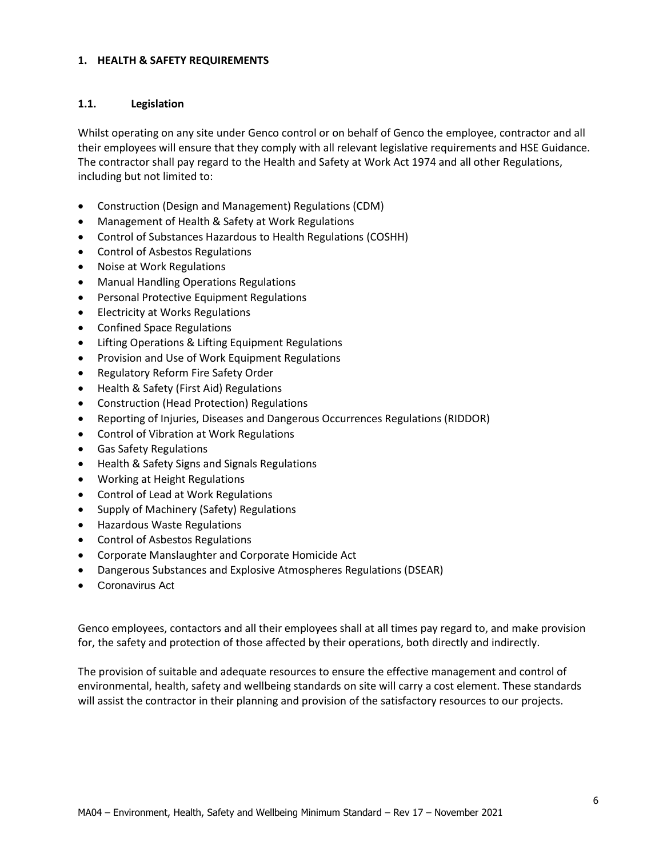#### **1. HEALTH & SAFETY REQUIREMENTS**

## **1.1. Legislation**

Whilst operating on any site under Genco control or on behalf of Genco the employee, contractor and all their employees will ensure that they comply with all relevant legislative requirements and HSE Guidance. The contractor shall pay regard to the Health and Safety at Work Act 1974 and all other Regulations, including but not limited to:

- Construction (Design and Management) Regulations (CDM)
- Management of Health & Safety at Work Regulations
- Control of Substances Hazardous to Health Regulations (COSHH)
- Control of Asbestos Regulations
- Noise at Work Regulations
- Manual Handling Operations Regulations
- Personal Protective Equipment Regulations
- Electricity at Works Regulations
- Confined Space Regulations
- Lifting Operations & Lifting Equipment Regulations
- Provision and Use of Work Equipment Regulations
- Regulatory Reform Fire Safety Order
- Health & Safety (First Aid) Regulations
- Construction (Head Protection) Regulations
- Reporting of Injuries, Diseases and Dangerous Occurrences Regulations (RIDDOR)
- Control of Vibration at Work Regulations
- Gas Safety Regulations
- Health & Safety Signs and Signals Regulations
- Working at Height Regulations
- Control of Lead at Work Regulations
- Supply of Machinery (Safety) Regulations
- Hazardous Waste Regulations
- Control of Asbestos Regulations
- Corporate Manslaughter and Corporate Homicide Act
- Dangerous Substances and Explosive Atmospheres Regulations (DSEAR)
- Coronavirus Act

Genco employees, contactors and all their employees shall at all times pay regard to, and make provision for, the safety and protection of those affected by their operations, both directly and indirectly.

The provision of suitable and adequate resources to ensure the effective management and control of environmental, health, safety and wellbeing standards on site will carry a cost element. These standards will assist the contractor in their planning and provision of the satisfactory resources to our projects.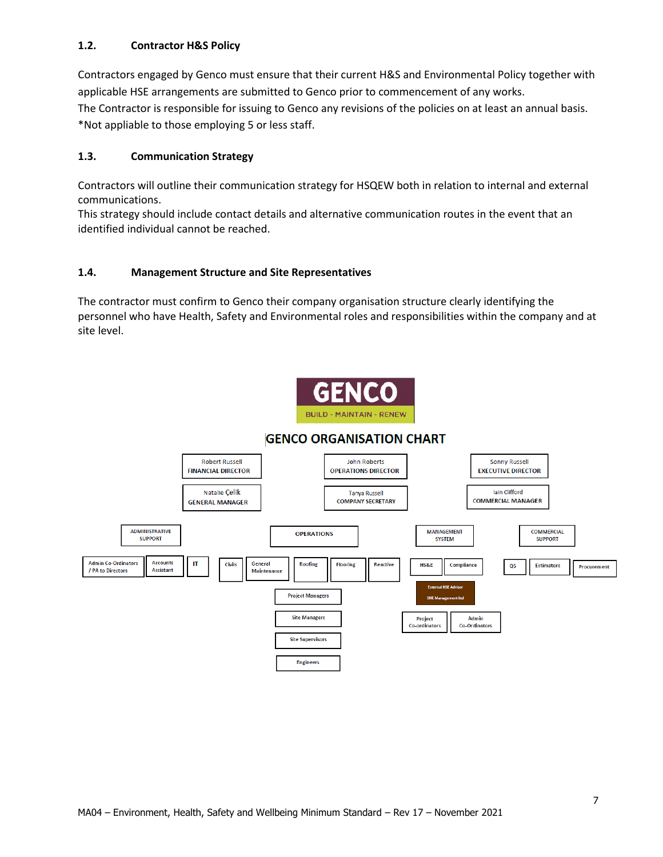## **1.2. Contractor H&S Policy**

Contractors engaged by Genco must ensure that their current H&S and Environmental Policy together with applicable HSE arrangements are submitted to Genco prior to commencement of any works. The Contractor is responsible for issuing to Genco any revisions of the policies on at least an annual basis. \*Not appliable to those employing 5 or less staff.

## **1.3. Communication Strategy**

Contractors will outline their communication strategy for HSQEW both in relation to internal and external communications.

This strategy should include contact details and alternative communication routes in the event that an identified individual cannot be reached.

## **1.4. Management Structure and Site Representatives**

The contractor must confirm to Genco their company organisation structure clearly identifying the personnel who have Health, Safety and Environmental roles and responsibilities within the company and at site level.



## **GENCO ORGANISATION CHART**

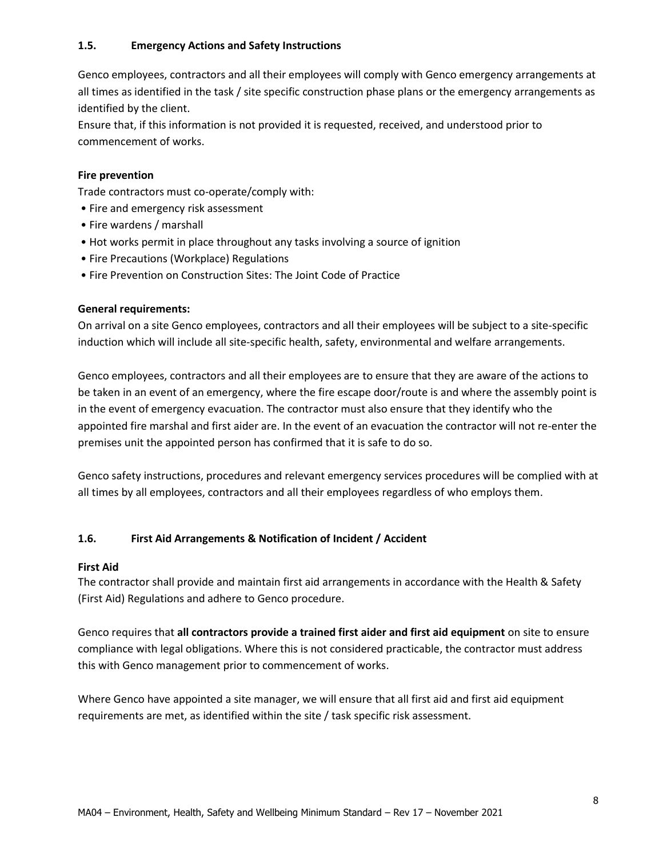## **1.5. Emergency Actions and Safety Instructions**

Genco employees, contractors and all their employees will comply with Genco emergency arrangements at all times as identified in the task / site specific construction phase plans or the emergency arrangements as identified by the client.

Ensure that, if this information is not provided it is requested, received, and understood prior to commencement of works.

## **Fire prevention**

Trade contractors must co-operate/comply with:

- Fire and emergency risk assessment
- Fire wardens / marshall
- Hot works permit in place throughout any tasks involving a source of ignition
- Fire Precautions (Workplace) Regulations
- Fire Prevention on Construction Sites: The Joint Code of Practice

## **General requirements:**

On arrival on a site Genco employees, contractors and all their employees will be subject to a site-specific induction which will include all site-specific health, safety, environmental and welfare arrangements.

Genco employees, contractors and all their employees are to ensure that they are aware of the actions to be taken in an event of an emergency, where the fire escape door/route is and where the assembly point is in the event of emergency evacuation. The contractor must also ensure that they identify who the appointed fire marshal and first aider are. In the event of an evacuation the contractor will not re-enter the premises unit the appointed person has confirmed that it is safe to do so.

Genco safety instructions, procedures and relevant emergency services procedures will be complied with at all times by all employees, contractors and all their employees regardless of who employs them.

## **1.6. First Aid Arrangements & Notification of Incident / Accident**

## **First Aid**

The contractor shall provide and maintain first aid arrangements in accordance with the Health & Safety (First Aid) Regulations and adhere to Genco procedure.

Genco requires that **all contractors provide a trained first aider and first aid equipment** on site to ensure compliance with legal obligations. Where this is not considered practicable, the contractor must address this with Genco management prior to commencement of works.

Where Genco have appointed a site manager, we will ensure that all first aid and first aid equipment requirements are met, as identified within the site / task specific risk assessment.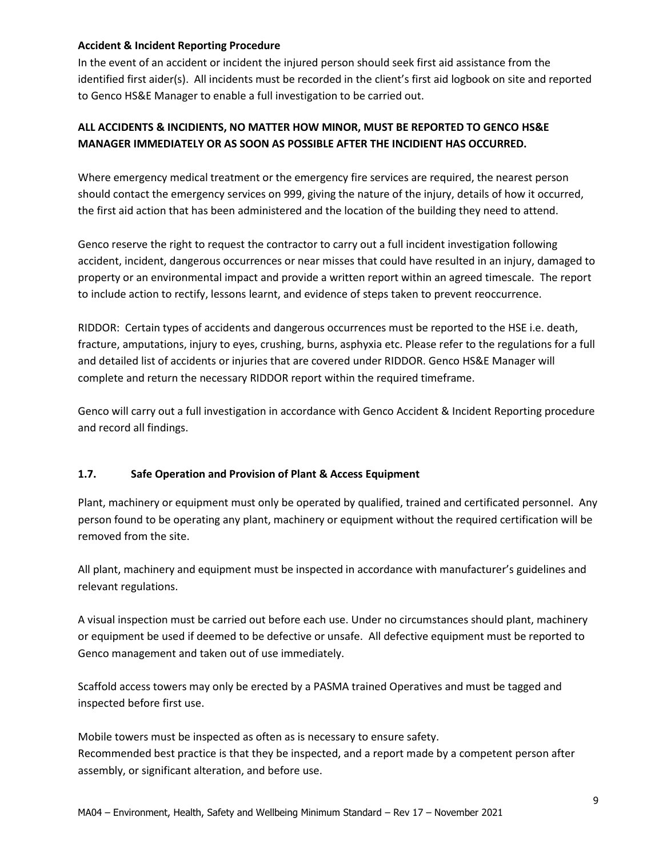## **Accident & Incident Reporting Procedure**

In the event of an accident or incident the injured person should seek first aid assistance from the identified first aider(s). All incidents must be recorded in the client's first aid logbook on site and reported to Genco HS&E Manager to enable a full investigation to be carried out.

## **ALL ACCIDENTS & INCIDIENTS, NO MATTER HOW MINOR, MUST BE REPORTED TO GENCO HS&E MANAGER IMMEDIATELY OR AS SOON AS POSSIBLE AFTER THE INCIDIENT HAS OCCURRED.**

Where emergency medical treatment or the emergency fire services are required, the nearest person should contact the emergency services on 999, giving the nature of the injury, details of how it occurred, the first aid action that has been administered and the location of the building they need to attend.

Genco reserve the right to request the contractor to carry out a full incident investigation following accident, incident, dangerous occurrences or near misses that could have resulted in an injury, damaged to property or an environmental impact and provide a written report within an agreed timescale. The report to include action to rectify, lessons learnt, and evidence of steps taken to prevent reoccurrence.

RIDDOR: Certain types of accidents and dangerous occurrences must be reported to the HSE i.e. death, fracture, amputations, injury to eyes, crushing, burns, asphyxia etc. Please refer to the regulations for a full and detailed list of accidents or injuries that are covered under RIDDOR. Genco HS&E Manager will complete and return the necessary RIDDOR report within the required timeframe.

Genco will carry out a full investigation in accordance with Genco Accident & Incident Reporting procedure and record all findings.

## **1.7. Safe Operation and Provision of Plant & Access Equipment**

Plant, machinery or equipment must only be operated by qualified, trained and certificated personnel. Any person found to be operating any plant, machinery or equipment without the required certification will be removed from the site.

All plant, machinery and equipment must be inspected in accordance with manufacturer's guidelines and relevant regulations.

A visual inspection must be carried out before each use. Under no circumstances should plant, machinery or equipment be used if deemed to be defective or unsafe. All defective equipment must be reported to Genco management and taken out of use immediately.

Scaffold access towers may only be erected by a PASMA trained Operatives and must be tagged and inspected before first use.

Mobile towers must be inspected as often as is necessary to ensure safety. Recommended best practice is that they be inspected, and a report made by a competent person after assembly, or significant alteration, and before use.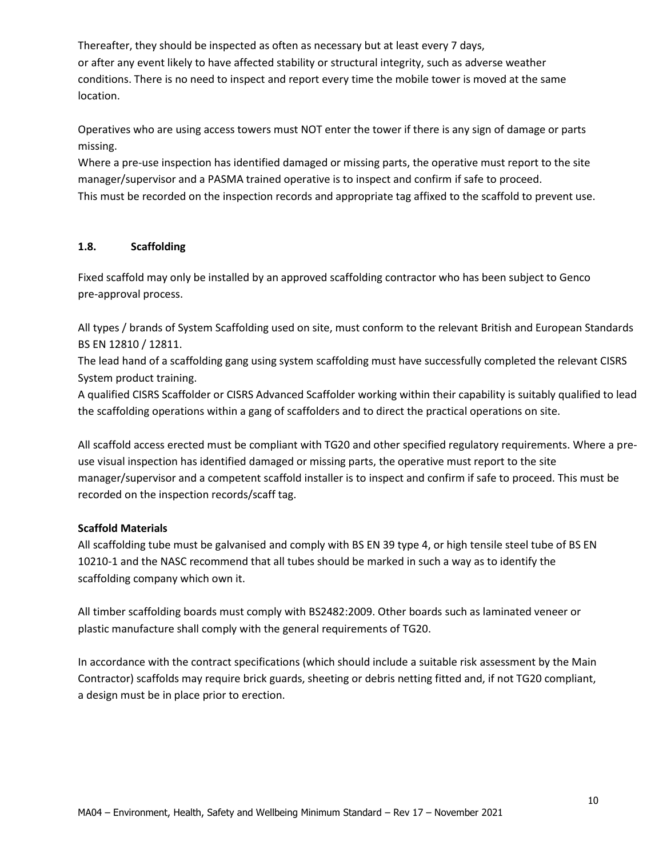Thereafter, they should be inspected as often as necessary but at least every 7 days, or after any event likely to have affected stability or structural integrity, such as adverse weather conditions. There is no need to inspect and report every time the mobile tower is moved at the same location.

Operatives who are using access towers must NOT enter the tower if there is any sign of damage or parts missing.

Where a pre-use inspection has identified damaged or missing parts, the operative must report to the site manager/supervisor and a PASMA trained operative is to inspect and confirm if safe to proceed. This must be recorded on the inspection records and appropriate tag affixed to the scaffold to prevent use.

## **1.8. Scaffolding**

Fixed scaffold may only be installed by an approved scaffolding contractor who has been subject to Genco pre-approval process.

All types / brands of System Scaffolding used on site, must conform to the relevant British and European Standards BS EN 12810 / 12811.

The lead hand of a scaffolding gang using system scaffolding must have successfully completed the relevant CISRS System product training.

A qualified CISRS Scaffolder or CISRS Advanced Scaffolder working within their capability is suitably qualified to lead the scaffolding operations within a gang of scaffolders and to direct the practical operations on site.

All scaffold access erected must be compliant with TG20 and other specified regulatory requirements. Where a preuse visual inspection has identified damaged or missing parts, the operative must report to the site manager/supervisor and a competent scaffold installer is to inspect and confirm if safe to proceed. This must be recorded on the inspection records/scaff tag.

## **Scaffold Materials**

All scaffolding tube must be galvanised and comply with BS EN 39 type 4, or high tensile steel tube of BS EN 10210-1 and the NASC recommend that all tubes should be marked in such a way as to identify the scaffolding company which own it.

All timber scaffolding boards must comply with BS2482:2009. Other boards such as laminated veneer or plastic manufacture shall comply with the general requirements of TG20.

In accordance with the contract specifications (which should include a suitable risk assessment by the Main Contractor) scaffolds may require brick guards, sheeting or debris netting fitted and, if not TG20 compliant, a design must be in place prior to erection.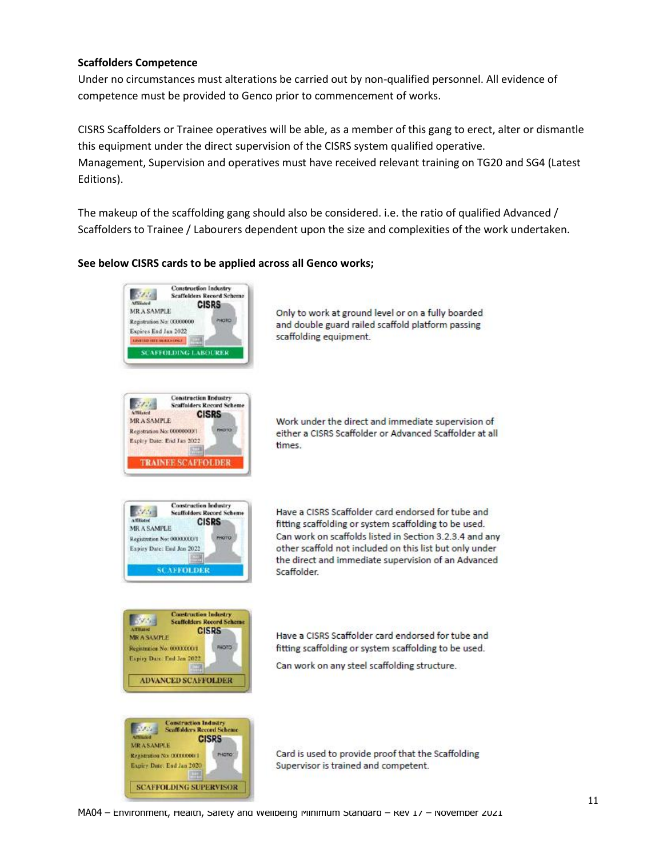## **Scaffolders Competence**

Under no circumstances must alterations be carried out by non-qualified personnel. All evidence of competence must be provided to Genco prior to commencement of works.

CISRS Scaffolders or Trainee operatives will be able, as a member of this gang to erect, alter or dismantle this equipment under the direct supervision of the CISRS system qualified operative. Management, Supervision and operatives must have received relevant training on TG20 and SG4 (Latest Editions).

The makeup of the scaffolding gang should also be considered. i.e. the ratio of qualified Advanced / Scaffolders to Trainee / Labourers dependent upon the size and complexities of the work undertaken.

#### **See below CISRS cards to be applied across all Genco works;**



Only to work at ground level or on a fully boarded and double guard railed scaffold platform passing scaffolding equipment.

Work under the direct and immediate supervision of either a CISRS Scaffolder or Advanced Scaffolder at all times



Have a CISRS Scaffolder card endorsed for tube and fitting scaffolding or system scaffolding to be used. Can work on scaffolds listed in Section 3.2.3.4 and any other scaffold not included on this list but only under the direct and immediate supervision of an Advanced Scaffolder.



Have a CISRS Scaffolder card endorsed for tube and fitting scaffolding or system scaffolding to be used.

Can work on any steel scaffolding structure.



Card is used to provide proof that the Scaffolding Supervisor is trained and competent.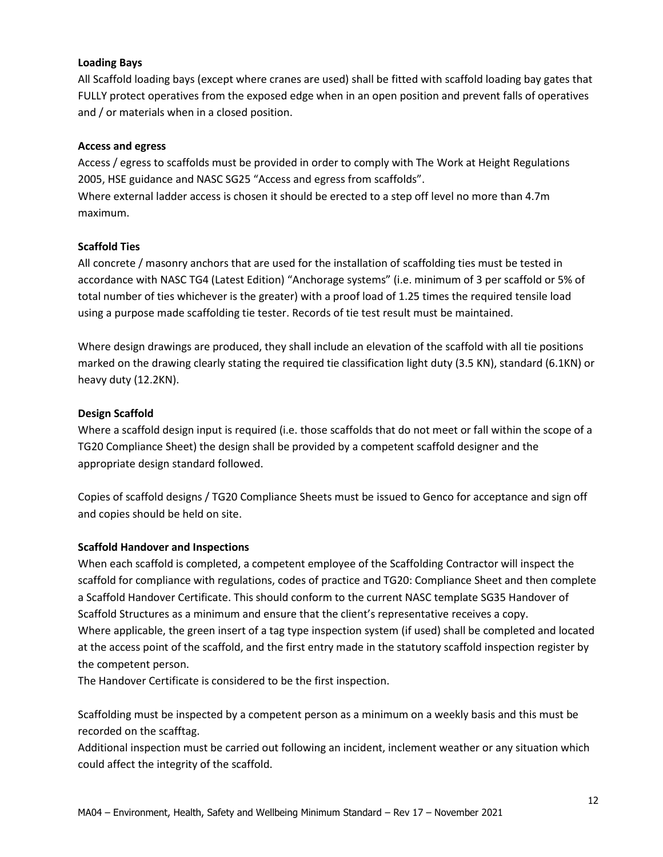## **Loading Bays**

All Scaffold loading bays (except where cranes are used) shall be fitted with scaffold loading bay gates that FULLY protect operatives from the exposed edge when in an open position and prevent falls of operatives and / or materials when in a closed position.

## **Access and egress**

Access / egress to scaffolds must be provided in order to comply with The Work at Height Regulations 2005, HSE guidance and NASC SG25 "Access and egress from scaffolds". Where external ladder access is chosen it should be erected to a step off level no more than 4.7m maximum.

## **Scaffold Ties**

All concrete / masonry anchors that are used for the installation of scaffolding ties must be tested in accordance with NASC TG4 (Latest Edition) "Anchorage systems" (i.e. minimum of 3 per scaffold or 5% of total number of ties whichever is the greater) with a proof load of 1.25 times the required tensile load using a purpose made scaffolding tie tester. Records of tie test result must be maintained.

Where design drawings are produced, they shall include an elevation of the scaffold with all tie positions marked on the drawing clearly stating the required tie classification light duty (3.5 KN), standard (6.1KN) or heavy duty (12.2KN).

## **Design Scaffold**

Where a scaffold design input is required (i.e. those scaffolds that do not meet or fall within the scope of a TG20 Compliance Sheet) the design shall be provided by a competent scaffold designer and the appropriate design standard followed.

Copies of scaffold designs / TG20 Compliance Sheets must be issued to Genco for acceptance and sign off and copies should be held on site.

## **Scaffold Handover and Inspections**

When each scaffold is completed, a competent employee of the Scaffolding Contractor will inspect the scaffold for compliance with regulations, codes of practice and TG20: Compliance Sheet and then complete a Scaffold Handover Certificate. This should conform to the current NASC template SG35 Handover of Scaffold Structures as a minimum and ensure that the client's representative receives a copy. Where applicable, the green insert of a tag type inspection system (if used) shall be completed and located at the access point of the scaffold, and the first entry made in the statutory scaffold inspection register by the competent person.

The Handover Certificate is considered to be the first inspection.

Scaffolding must be inspected by a competent person as a minimum on a weekly basis and this must be recorded on the scafftag.

Additional inspection must be carried out following an incident, inclement weather or any situation which could affect the integrity of the scaffold.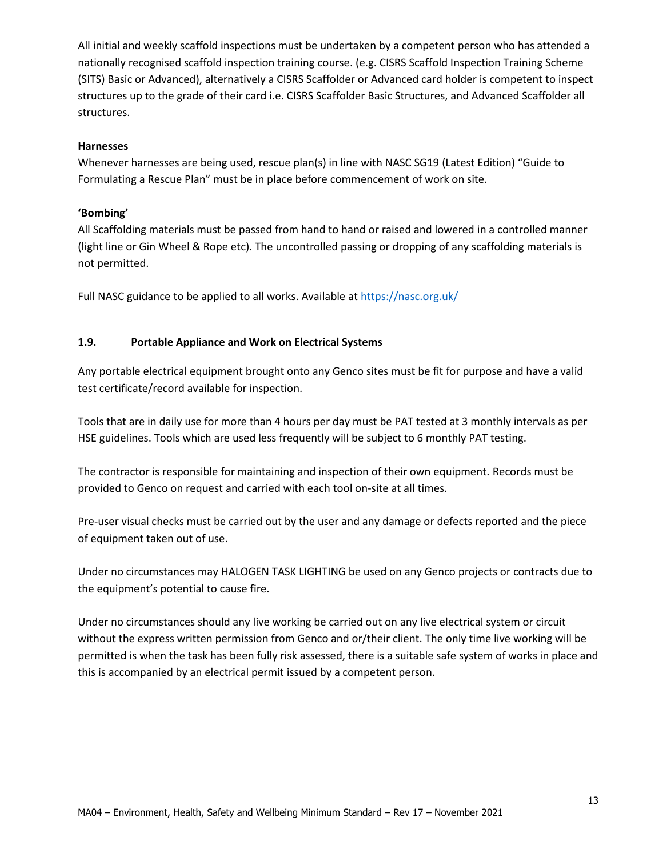All initial and weekly scaffold inspections must be undertaken by a competent person who has attended a nationally recognised scaffold inspection training course. (e.g. CISRS Scaffold Inspection Training Scheme (SITS) Basic or Advanced), alternatively a CISRS Scaffolder or Advanced card holder is competent to inspect structures up to the grade of their card i.e. CISRS Scaffolder Basic Structures, and Advanced Scaffolder all structures.

## **Harnesses**

Whenever harnesses are being used, rescue plan(s) in line with NASC SG19 (Latest Edition) "Guide to Formulating a Rescue Plan" must be in place before commencement of work on site.

## **'Bombing'**

All Scaffolding materials must be passed from hand to hand or raised and lowered in a controlled manner (light line or Gin Wheel & Rope etc). The uncontrolled passing or dropping of any scaffolding materials is not permitted.

Full NASC guidance to be applied to all works. Available at<https://nasc.org.uk/>

## **1.9. Portable Appliance and Work on Electrical Systems**

Any portable electrical equipment brought onto any Genco sites must be fit for purpose and have a valid test certificate/record available for inspection.

Tools that are in daily use for more than 4 hours per day must be PAT tested at 3 monthly intervals as per HSE guidelines. Tools which are used less frequently will be subject to 6 monthly PAT testing.

The contractor is responsible for maintaining and inspection of their own equipment. Records must be provided to Genco on request and carried with each tool on-site at all times.

Pre-user visual checks must be carried out by the user and any damage or defects reported and the piece of equipment taken out of use.

Under no circumstances may HALOGEN TASK LIGHTING be used on any Genco projects or contracts due to the equipment's potential to cause fire.

Under no circumstances should any live working be carried out on any live electrical system or circuit without the express written permission from Genco and or/their client. The only time live working will be permitted is when the task has been fully risk assessed, there is a suitable safe system of works in place and this is accompanied by an electrical permit issued by a competent person.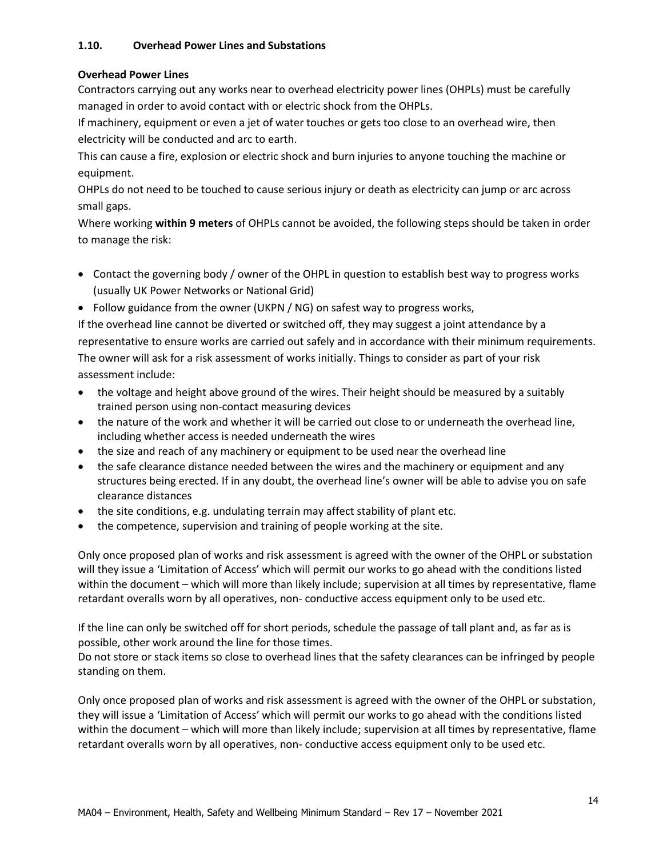## **1.10. Overhead Power Lines and Substations**

## **Overhead Power Lines**

Contractors carrying out any works near to overhead electricity power lines (OHPLs) must be carefully managed in order to avoid contact with or electric shock from the OHPLs.

If machinery, equipment or even a jet of water touches or gets too close to an overhead wire, then electricity will be conducted and arc to earth.

This can cause a fire, explosion or electric shock and burn injuries to anyone touching the machine or equipment.

OHPLs do not need to be touched to cause serious injury or death as electricity can jump or arc across small gaps.

Where working **within 9 meters** of OHPLs cannot be avoided, the following steps should be taken in order to manage the risk:

- Contact the governing body / owner of the OHPL in question to establish best way to progress works (usually UK Power Networks or National Grid)
- Follow guidance from the owner (UKPN / NG) on safest way to progress works,

If the overhead line cannot be diverted or switched off, they may suggest a joint attendance by a representative to ensure works are carried out safely and in accordance with their minimum requirements. The owner will ask for a risk assessment of works initially. Things to consider as part of your risk assessment include:

- the voltage and height above ground of the wires. Their height should be measured by a suitably trained person using non-contact measuring devices
- the nature of the work and whether it will be carried out close to or underneath the overhead line, including whether access is needed underneath the wires
- the size and reach of any machinery or equipment to be used near the overhead line
- the safe clearance distance needed between the wires and the machinery or equipment and any structures being erected. If in any doubt, the overhead line's owner will be able to advise you on safe clearance distances
- the site conditions, e.g. undulating terrain may affect stability of plant etc.
- the competence, supervision and training of people working at the site.

Only once proposed plan of works and risk assessment is agreed with the owner of the OHPL or substation will they issue a 'Limitation of Access' which will permit our works to go ahead with the conditions listed within the document – which will more than likely include; supervision at all times by representative, flame retardant overalls worn by all operatives, non- conductive access equipment only to be used etc.

If the line can only be switched off for short periods, schedule the passage of tall plant and, as far as is possible, other work around the line for those times.

Do not store or stack items so close to overhead lines that the safety clearances can be infringed by people standing on them.

Only once proposed plan of works and risk assessment is agreed with the owner of the OHPL or substation, they will issue a 'Limitation of Access' which will permit our works to go ahead with the conditions listed within the document – which will more than likely include; supervision at all times by representative, flame retardant overalls worn by all operatives, non- conductive access equipment only to be used etc.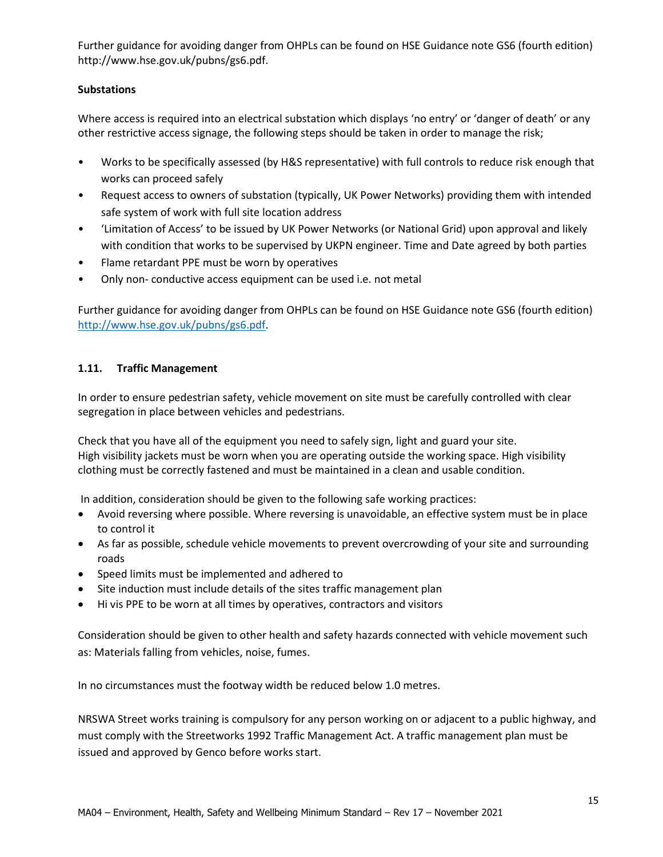Further guidance for avoiding danger from OHPLs can be found on HSE Guidance note GS6 (fourth edition) http://www.hse.gov.uk/pubns/gs6.pdf.

## **Substations**

Where access is required into an electrical substation which displays 'no entry' or 'danger of death' or any other restrictive access signage, the following steps should be taken in order to manage the risk;

- Works to be specifically assessed (by H&S representative) with full controls to reduce risk enough that works can proceed safely
- Request access to owners of substation (typically, UK Power Networks) providing them with intended safe system of work with full site location address
- 'Limitation of Access' to be issued by UK Power Networks (or National Grid) upon approval and likely with condition that works to be supervised by UKPN engineer. Time and Date agreed by both parties
- Flame retardant PPE must be worn by operatives
- Only non- conductive access equipment can be used i.e. not metal

Further guidance for avoiding danger from OHPLs can be found on HSE Guidance note GS6 (fourth edition) [http://www.hse.gov.uk/pubns/gs6.pdf.](http://www.hse.gov.uk/pubns/gs6.pdf)

## **1.11. Traffic Management**

In order to ensure pedestrian safety, vehicle movement on site must be carefully controlled with clear segregation in place between vehicles and pedestrians.

Check that you have all of the equipment you need to safely sign, light and guard your site. High visibility jackets must be worn when you are operating outside the working space. High visibility clothing must be correctly fastened and must be maintained in a clean and usable condition.

In addition, consideration should be given to the following safe working practices:

- Avoid reversing where possible. Where reversing is unavoidable, an effective system must be in place to control it
- As far as possible, schedule vehicle movements to prevent overcrowding of your site and surrounding roads
- Speed limits must be implemented and adhered to
- Site induction must include details of the sites traffic management plan
- Hi vis PPE to be worn at all times by operatives, contractors and visitors

Consideration should be given to other health and safety hazards connected with vehicle movement such as: Materials falling from vehicles, noise, fumes.

In no circumstances must the footway width be reduced below 1.0 metres.

NRSWA Street works training is compulsory for any person working on or adjacent to a public highway, and must comply with the Streetworks 1992 Traffic Management Act. A traffic management plan must be issued and approved by Genco before works start.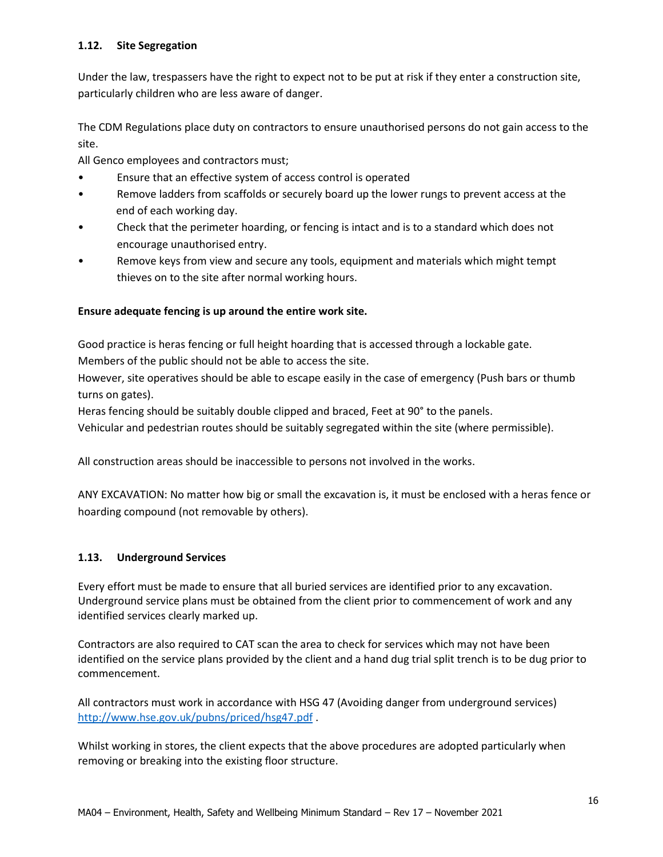## **1.12. Site Segregation**

Under the law, trespassers have the right to expect not to be put at risk if they enter a construction site, particularly children who are less aware of danger.

The CDM Regulations place duty on contractors to ensure unauthorised persons do not gain access to the site.

All Genco employees and contractors must;

- Ensure that an effective system of access control is operated
- Remove ladders from scaffolds or securely board up the lower rungs to prevent access at the end of each working day.
- Check that the perimeter hoarding, or fencing is intact and is to a standard which does not encourage unauthorised entry.
- Remove keys from view and secure any tools, equipment and materials which might tempt thieves on to the site after normal working hours.

## **Ensure adequate fencing is up around the entire work site.**

Good practice is heras fencing or full height hoarding that is accessed through a lockable gate.

Members of the public should not be able to access the site.

However, site operatives should be able to escape easily in the case of emergency (Push bars or thumb turns on gates).

Heras fencing should be suitably double clipped and braced, Feet at 90° to the panels.

Vehicular and pedestrian routes should be suitably segregated within the site (where permissible).

All construction areas should be inaccessible to persons not involved in the works.

ANY EXCAVATION: No matter how big or small the excavation is, it must be enclosed with a heras fence or hoarding compound (not removable by others).

## **1.13. Underground Services**

Every effort must be made to ensure that all buried services are identified prior to any excavation. Underground service plans must be obtained from the client prior to commencement of work and any identified services clearly marked up.

Contractors are also required to CAT scan the area to check for services which may not have been identified on the service plans provided by the client and a hand dug trial split trench is to be dug prior to commencement.

All contractors must work in accordance with HSG 47 (Avoiding danger from underground services) <http://www.hse.gov.uk/pubns/priced/hsg47.pdf> .

Whilst working in stores, the client expects that the above procedures are adopted particularly when removing or breaking into the existing floor structure.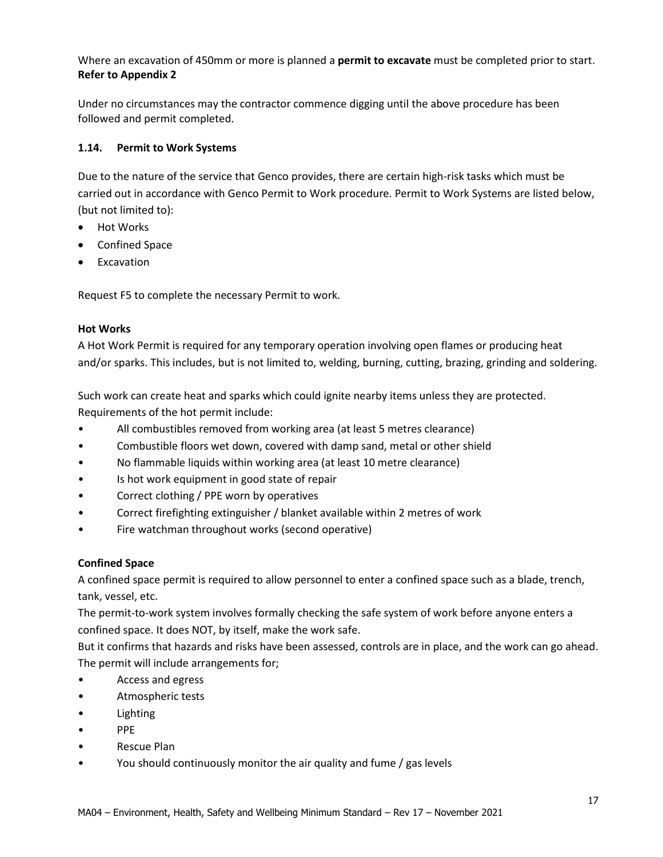Where an excavation of 450mm or more is planned a **permit to excavate** must be completed prior to start. **Refer to Appendix 2** 

Under no circumstances may the contractor commence digging until the above procedure has been followed and permit completed.

## **1.14. Permit to Work Systems**

Due to the nature of the service that Genco provides, there are certain high-risk tasks which must be carried out in accordance with Genco Permit to Work procedure. Permit to Work Systems are listed below, (but not limited to):

- Hot Works
- Confined Space
- Excavation

Request F5 to complete the necessary Permit to work.

## **Hot Works**

A Hot Work Permit is required for any temporary operation involving open flames or producing heat and/or sparks. This includes, but is not limited to, welding, burning, cutting, brazing, grinding and soldering.

Such work can create heat and sparks which could ignite nearby items unless they are protected. Requirements of the hot permit include:

- All combustibles removed from working area (at least 5 metres clearance)
- Combustible floors wet down, covered with damp sand, metal or other shield
- No flammable liquids within working area (at least 10 metre clearance)
- Is hot work equipment in good state of repair
- Correct clothing / PPE worn by operatives
- Correct firefighting extinguisher / blanket available within 2 metres of work
- Fire watchman throughout works (second operative)

## **Confined Space**

A confined space permit is required to allow personnel to enter a confined space such as a blade, trench, tank, vessel, etc.

The permit-to-work system involves formally checking the safe system of work before anyone enters a confined space. It does NOT, by itself, make the work safe.

But it confirms that hazards and risks have been assessed, controls are in place, and the work can go ahead. The permit will include arrangements for;

- Access and egress
- Atmospheric tests
- **Lighting**
- PPE
- Rescue Plan
- You should continuously monitor the air quality and fume / gas levels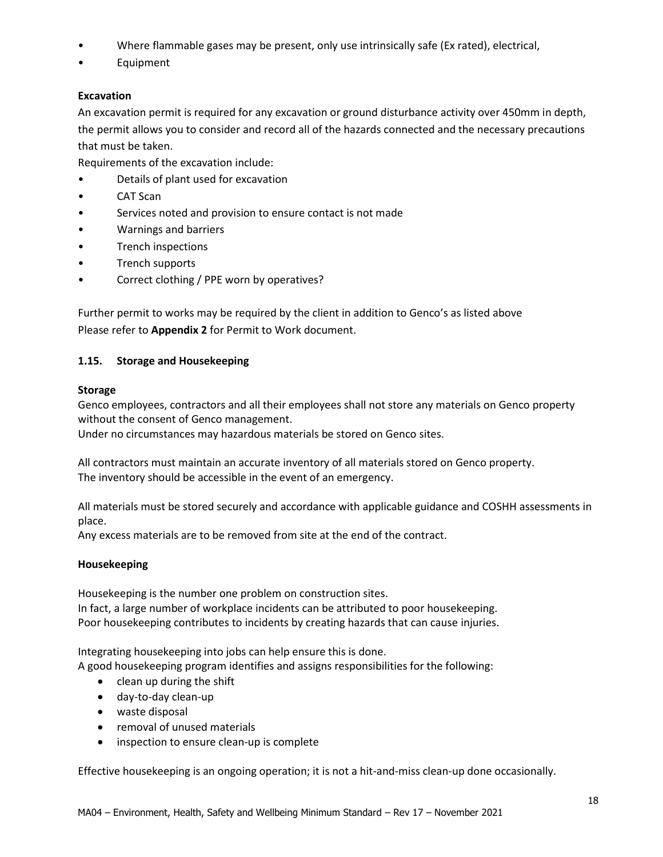- Where flammable gases may be present, only use intrinsically safe (Ex rated), electrical,
- Equipment

## **Excavation**

An excavation permit is required for any excavation or ground disturbance activity over 450mm in depth, the permit allows you to consider and record all of the hazards connected and the necessary precautions that must be taken.

Requirements of the excavation include:

- Details of plant used for excavation
- CAT Scan
- Services noted and provision to ensure contact is not made
- Warnings and barriers
- Trench inspections
- Trench supports
- Correct clothing / PPE worn by operatives?

Further permit to works may be required by the client in addition to Genco's as listed above Please refer to **Appendix 2** for Permit to Work document.

## **1.15. Storage and Housekeeping**

## **Storage**

Genco employees, contractors and all their employees shall not store any materials on Genco property without the consent of Genco management.

Under no circumstances may hazardous materials be stored on Genco sites.

All contractors must maintain an accurate inventory of all materials stored on Genco property. The inventory should be accessible in the event of an emergency.

All materials must be stored securely and accordance with applicable guidance and COSHH assessments in place.

Any excess materials are to be removed from site at the end of the contract.

## **Housekeeping**

Housekeeping is the number one problem on construction sites. In fact, a large number of workplace incidents can be attributed to poor housekeeping. Poor housekeeping contributes to incidents by creating hazards that can cause injuries.

Integrating housekeeping into jobs can help ensure this is done.

A good housekeeping program identifies and assigns responsibilities for the following:

- clean up during the shift
- day-to-day clean-up
- waste disposal
- removal of unused materials
- inspection to ensure clean-up is complete

Effective housekeeping is an ongoing operation; it is not a hit-and-miss clean-up done occasionally.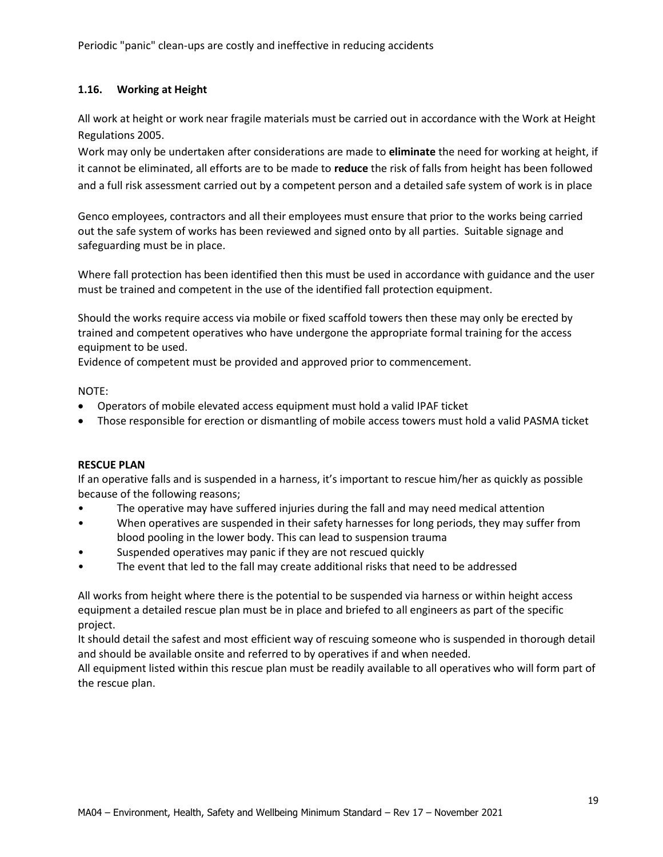## **1.16. Working at Height**

All work at height or work near fragile materials must be carried out in accordance with the Work at Height Regulations 2005.

Work may only be undertaken after considerations are made to **eliminate** the need for working at height, if it cannot be eliminated, all efforts are to be made to **reduce** the risk of falls from height has been followed and a full risk assessment carried out by a competent person and a detailed safe system of work is in place

Genco employees, contractors and all their employees must ensure that prior to the works being carried out the safe system of works has been reviewed and signed onto by all parties. Suitable signage and safeguarding must be in place.

Where fall protection has been identified then this must be used in accordance with guidance and the user must be trained and competent in the use of the identified fall protection equipment.

Should the works require access via mobile or fixed scaffold towers then these may only be erected by trained and competent operatives who have undergone the appropriate formal training for the access equipment to be used.

Evidence of competent must be provided and approved prior to commencement.

NOTE:

- Operators of mobile elevated access equipment must hold a valid IPAF ticket
- Those responsible for erection or dismantling of mobile access towers must hold a valid PASMA ticket

## **RESCUE PLAN**

If an operative falls and is suspended in a harness, it's important to rescue him/her as quickly as possible because of the following reasons;

- The operative may have suffered injuries during the fall and may need medical attention
- When operatives are suspended in their safety harnesses for long periods, they may suffer from blood pooling in the lower body. This can lead to suspension trauma
- Suspended operatives may panic if they are not rescued quickly
- The event that led to the fall may create additional risks that need to be addressed

All works from height where there is the potential to be suspended via harness or within height access equipment a detailed rescue plan must be in place and briefed to all engineers as part of the specific project.

It should detail the safest and most efficient way of rescuing someone who is suspended in thorough detail and should be available onsite and referred to by operatives if and when needed.

All equipment listed within this rescue plan must be readily available to all operatives who will form part of the rescue plan.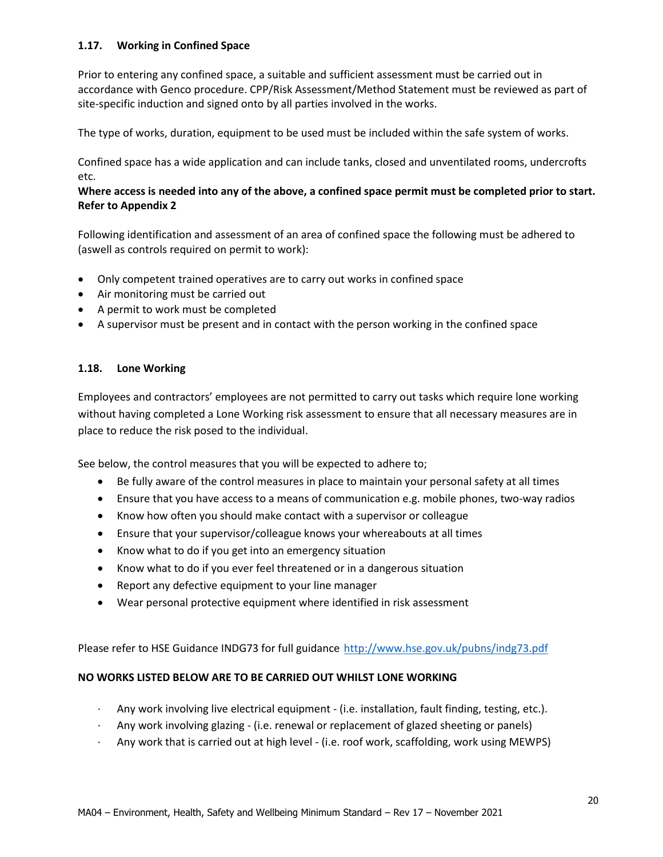## **1.17. Working in Confined Space**

Prior to entering any confined space, a suitable and sufficient assessment must be carried out in accordance with Genco procedure. CPP/Risk Assessment/Method Statement must be reviewed as part of site-specific induction and signed onto by all parties involved in the works.

The type of works, duration, equipment to be used must be included within the safe system of works.

Confined space has a wide application and can include tanks, closed and unventilated rooms, undercrofts etc.

## **Where access is needed into any of the above, a confined space permit must be completed prior to start. Refer to Appendix 2**

Following identification and assessment of an area of confined space the following must be adhered to (aswell as controls required on permit to work):

- Only competent trained operatives are to carry out works in confined space
- Air monitoring must be carried out
- A permit to work must be completed
- A supervisor must be present and in contact with the person working in the confined space

## **1.18. Lone Working**

Employees and contractors' employees are not permitted to carry out tasks which require lone working without having completed a Lone Working risk assessment to ensure that all necessary measures are in place to reduce the risk posed to the individual.

See below, the control measures that you will be expected to adhere to;

- Be fully aware of the control measures in place to maintain your personal safety at all times
- Ensure that you have access to a means of communication e.g. mobile phones, two-way radios
- Know how often you should make contact with a supervisor or colleague
- Ensure that your supervisor/colleague knows your whereabouts at all times
- Know what to do if you get into an emergency situation
- Know what to do if you ever feel threatened or in a dangerous situation
- Report any defective equipment to your line manager
- Wear personal protective equipment where identified in risk assessment

Please refer to HSE Guidance INDG73 for full guidance <http://www.hse.gov.uk/pubns/indg73.pdf>

## **NO WORKS LISTED BELOW ARE TO BE CARRIED OUT WHILST LONE WORKING**

- · Any work involving live electrical equipment (i.e. installation, fault finding, testing, etc.).
- · Any work involving glazing (i.e. renewal or replacement of glazed sheeting or panels)
- · Any work that is carried out at high level (i.e. roof work, scaffolding, work using MEWPS)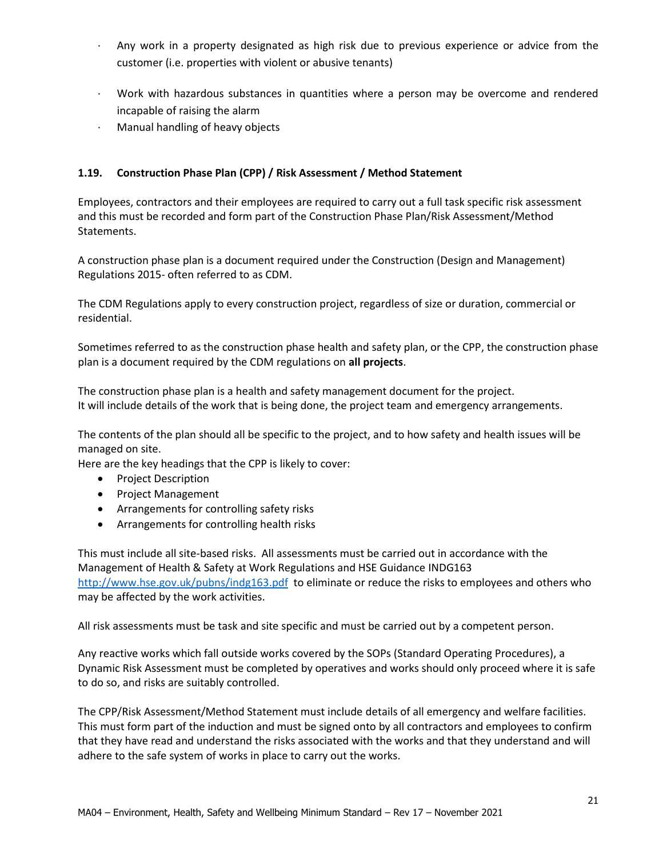- · Any work in a property designated as high risk due to previous experience or advice from the customer (i.e. properties with violent or abusive tenants)
- · Work with hazardous substances in quantities where a person may be overcome and rendered incapable of raising the alarm
- · Manual handling of heavy objects

## **1.19. Construction Phase Plan (CPP) / Risk Assessment / Method Statement**

Employees, contractors and their employees are required to carry out a full task specific risk assessment and this must be recorded and form part of the Construction Phase Plan/Risk Assessment/Method Statements.

A construction phase plan is a document required under the Construction (Design and Management) Regulations 2015- often referred to as CDM.

The CDM Regulations apply to every construction project, regardless of size or duration, commercial or residential.

Sometimes referred to as the construction phase health and safety plan, or the CPP, the construction phase plan is a document required by the CDM regulations on **all projects**.

The construction phase plan is a health and safety management document for the project. It will include details of the work that is being done, the project team and emergency arrangements.

The contents of the plan should all be specific to the project, and to how safety and health issues will be managed on site.

Here are the key headings that the CPP is likely to cover:

- Project Description
- Project Management
- Arrangements for controlling safety risks
- Arrangements for controlling health risks

This must include all site-based risks. All assessments must be carried out in accordance with the Management of Health & Safety at Work Regulations and HSE Guidance INDG163 <http://www.hse.gov.uk/pubns/indg163.pdf> to eliminate or reduce the risks to employees and others who may be affected by the work activities.

All risk assessments must be task and site specific and must be carried out by a competent person.

Any reactive works which fall outside works covered by the SOPs (Standard Operating Procedures), a Dynamic Risk Assessment must be completed by operatives and works should only proceed where it is safe to do so, and risks are suitably controlled.

The CPP/Risk Assessment/Method Statement must include details of all emergency and welfare facilities. This must form part of the induction and must be signed onto by all contractors and employees to confirm that they have read and understand the risks associated with the works and that they understand and will adhere to the safe system of works in place to carry out the works.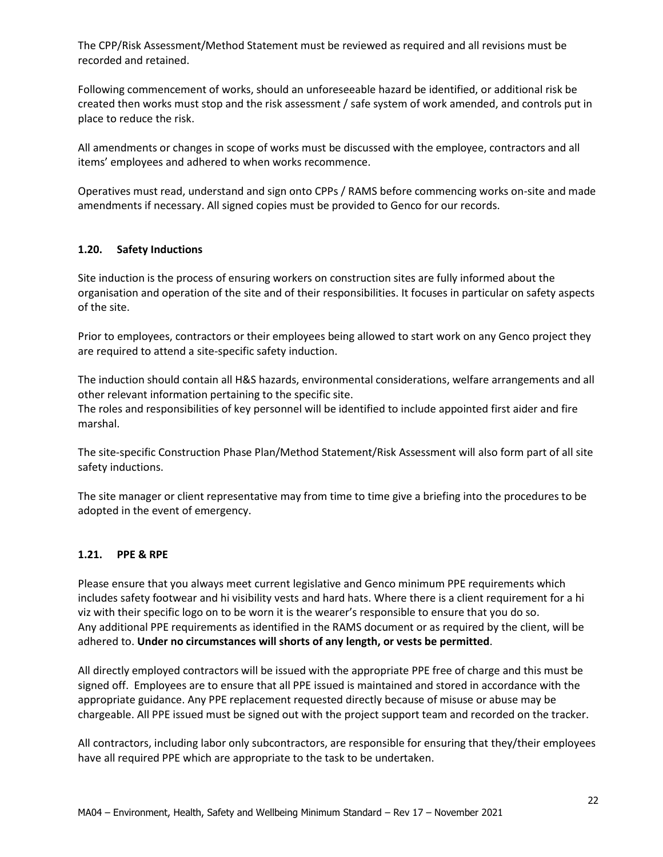The CPP/Risk Assessment/Method Statement must be reviewed as required and all revisions must be recorded and retained.

Following commencement of works, should an unforeseeable hazard be identified, or additional risk be created then works must stop and the risk assessment / safe system of work amended, and controls put in place to reduce the risk.

All amendments or changes in scope of works must be discussed with the employee, contractors and all items' employees and adhered to when works recommence.

Operatives must read, understand and sign onto CPPs / RAMS before commencing works on-site and made amendments if necessary. All signed copies must be provided to Genco for our records.

## **1.20. Safety Inductions**

Site induction is the process of ensuring workers on construction sites are fully informed about the organisation and operation of the site and of their responsibilities. It focuses in particular on safety aspects of the site.

Prior to employees, contractors or their employees being allowed to start work on any Genco project they are required to attend a site-specific safety induction.

The induction should contain all H&S hazards, environmental considerations, welfare arrangements and all other relevant information pertaining to the specific site.

The roles and responsibilities of key personnel will be identified to include appointed first aider and fire marshal.

The site-specific Construction Phase Plan/Method Statement/Risk Assessment will also form part of all site safety inductions.

The site manager or client representative may from time to time give a briefing into the procedures to be adopted in the event of emergency.

## **1.21. PPE & RPE**

Please ensure that you always meet current legislative and Genco minimum PPE requirements which includes safety footwear and hi visibility vests and hard hats. Where there is a client requirement for a hi viz with their specific logo on to be worn it is the wearer's responsible to ensure that you do so. Any additional PPE requirements as identified in the RAMS document or as required by the client, will be adhered to. **Under no circumstances will shorts of any length, or vests be permitted**.

All directly employed contractors will be issued with the appropriate PPE free of charge and this must be signed off. Employees are to ensure that all PPE issued is maintained and stored in accordance with the appropriate guidance. Any PPE replacement requested directly because of misuse or abuse may be chargeable. All PPE issued must be signed out with the project support team and recorded on the tracker.

All contractors, including labor only subcontractors, are responsible for ensuring that they/their employees have all required PPE which are appropriate to the task to be undertaken.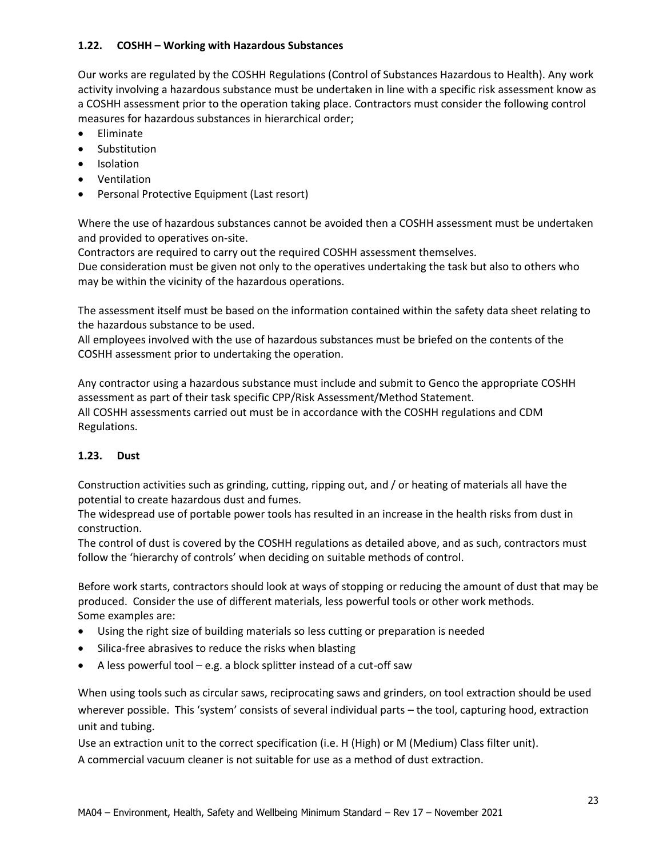## **1.22. COSHH – Working with Hazardous Substances**

Our works are regulated by the COSHH Regulations (Control of Substances Hazardous to Health). Any work activity involving a hazardous substance must be undertaken in line with a specific risk assessment know as a COSHH assessment prior to the operation taking place. Contractors must consider the following control measures for hazardous substances in hierarchical order;

- Eliminate
- **Substitution**
- Isolation
- Ventilation
- Personal Protective Equipment (Last resort)

Where the use of hazardous substances cannot be avoided then a COSHH assessment must be undertaken and provided to operatives on-site.

Contractors are required to carry out the required COSHH assessment themselves.

Due consideration must be given not only to the operatives undertaking the task but also to others who may be within the vicinity of the hazardous operations.

The assessment itself must be based on the information contained within the safety data sheet relating to the hazardous substance to be used.

All employees involved with the use of hazardous substances must be briefed on the contents of the COSHH assessment prior to undertaking the operation.

Any contractor using a hazardous substance must include and submit to Genco the appropriate COSHH assessment as part of their task specific CPP/Risk Assessment/Method Statement. All COSHH assessments carried out must be in accordance with the COSHH regulations and CDM Regulations.

## **1.23. Dust**

Construction activities such as grinding, cutting, ripping out, and / or heating of materials all have the potential to create hazardous dust and fumes.

The widespread use of portable power tools has resulted in an increase in the health risks from dust in construction.

The control of dust is covered by the COSHH regulations as detailed above, and as such, contractors must follow the 'hierarchy of controls' when deciding on suitable methods of control.

Before work starts, contractors should look at ways of stopping or reducing the amount of dust that may be produced. Consider the use of different materials, less powerful tools or other work methods. Some examples are:

- Using the right size of building materials so less cutting or preparation is needed
- Silica-free abrasives to reduce the risks when blasting
- A less powerful tool e.g. a block splitter instead of a cut-off saw

When using tools such as circular saws, reciprocating saws and grinders, on tool extraction should be used wherever possible. This 'system' consists of several individual parts – the tool, capturing hood, extraction unit and tubing.

Use an extraction unit to the correct specification (i.e. H (High) or M (Medium) Class filter unit). A commercial vacuum cleaner is not suitable for use as a method of dust extraction.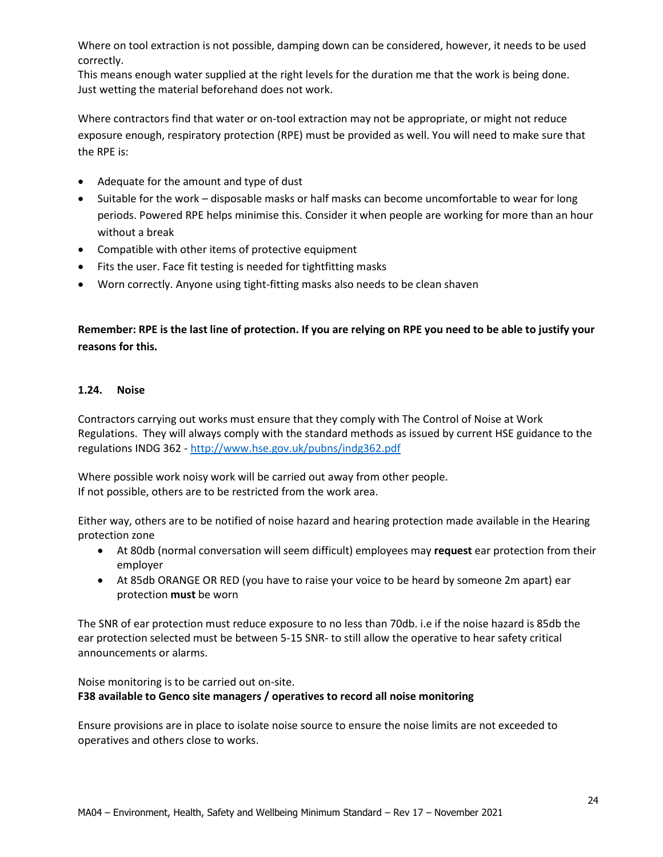Where on tool extraction is not possible, damping down can be considered, however, it needs to be used correctly.

This means enough water supplied at the right levels for the duration me that the work is being done. Just wetting the material beforehand does not work.

Where contractors find that water or on-tool extraction may not be appropriate, or might not reduce exposure enough, respiratory protection (RPE) must be provided as well. You will need to make sure that the RPE is:

- Adequate for the amount and type of dust
- Suitable for the work disposable masks or half masks can become uncomfortable to wear for long periods. Powered RPE helps minimise this. Consider it when people are working for more than an hour without a break
- Compatible with other items of protective equipment
- Fits the user. Face fit testing is needed for tightfitting masks
- Worn correctly. Anyone using tight-fitting masks also needs to be clean shaven

## **Remember: RPE is the last line of protection. If you are relying on RPE you need to be able to justify your reasons for this.**

## **1.24. Noise**

Contractors carrying out works must ensure that they comply with The Control of Noise at Work Regulations. They will always comply with the standard methods as issued by current HSE guidance to the regulations INDG 362 - <http://www.hse.gov.uk/pubns/indg362.pdf>

Where possible work noisy work will be carried out away from other people. If not possible, others are to be restricted from the work area.

Either way, others are to be notified of noise hazard and hearing protection made available in the Hearing protection zone

- At 80db (normal conversation will seem difficult) employees may **request** ear protection from their employer
- At 85db ORANGE OR RED (you have to raise your voice to be heard by someone 2m apart) ear protection **must** be worn

The SNR of ear protection must reduce exposure to no less than 70db. i.e if the noise hazard is 85db the ear protection selected must be between 5-15 SNR- to still allow the operative to hear safety critical announcements or alarms.

## Noise monitoring is to be carried out on-site. **F38 available to Genco site managers / operatives to record all noise monitoring**

Ensure provisions are in place to isolate noise source to ensure the noise limits are not exceeded to operatives and others close to works.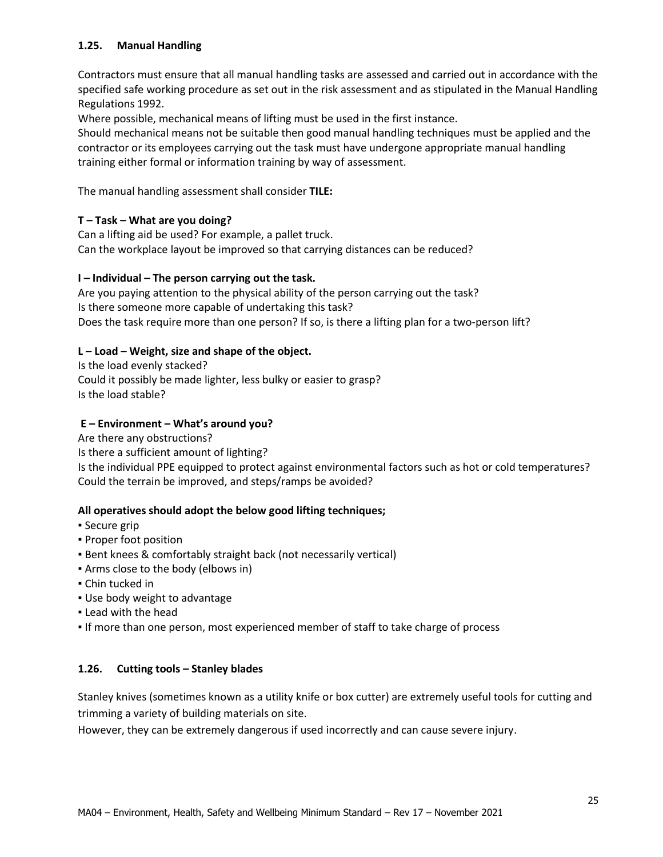## **1.25. Manual Handling**

Contractors must ensure that all manual handling tasks are assessed and carried out in accordance with the specified safe working procedure as set out in the risk assessment and as stipulated in the Manual Handling Regulations 1992.

Where possible, mechanical means of lifting must be used in the first instance.

Should mechanical means not be suitable then good manual handling techniques must be applied and the contractor or its employees carrying out the task must have undergone appropriate manual handling training either formal or information training by way of assessment.

The manual handling assessment shall consider **TILE:**

## **T – Task – What are you doing?**

Can a lifting aid be used? For example, a pallet truck. Can the workplace layout be improved so that carrying distances can be reduced?

## **I – Individual – The person carrying out the task.**

Are you paying attention to the physical ability of the person carrying out the task? Is there someone more capable of undertaking this task? Does the task require more than one person? If so, is there a lifting plan for a two-person lift?

## **L – Load – Weight, size and shape of the object.**

Is the load evenly stacked? Could it possibly be made lighter, less bulky or easier to grasp? Is the load stable?

## **E – Environment – What's around you?**

Are there any obstructions? Is there a sufficient amount of lighting? Is the individual PPE equipped to protect against environmental factors such as hot or cold temperatures? Could the terrain be improved, and steps/ramps be avoided?

## **All operatives should adopt the below good lifting techniques;**

- Secure grip
- Proper foot position
- **Bent knees & comfortably straight back (not necessarily vertical)**
- Arms close to the body (elbows in)
- Chin tucked in
- Use body weight to advantage
- Lead with the head
- If more than one person, most experienced member of staff to take charge of process

## **1.26. Cutting tools – Stanley blades**

Stanley knives (sometimes known as a utility knife or box cutter) are extremely useful tools for cutting and trimming a variety of building materials on site.

However, they can be extremely dangerous if used incorrectly and can cause severe injury.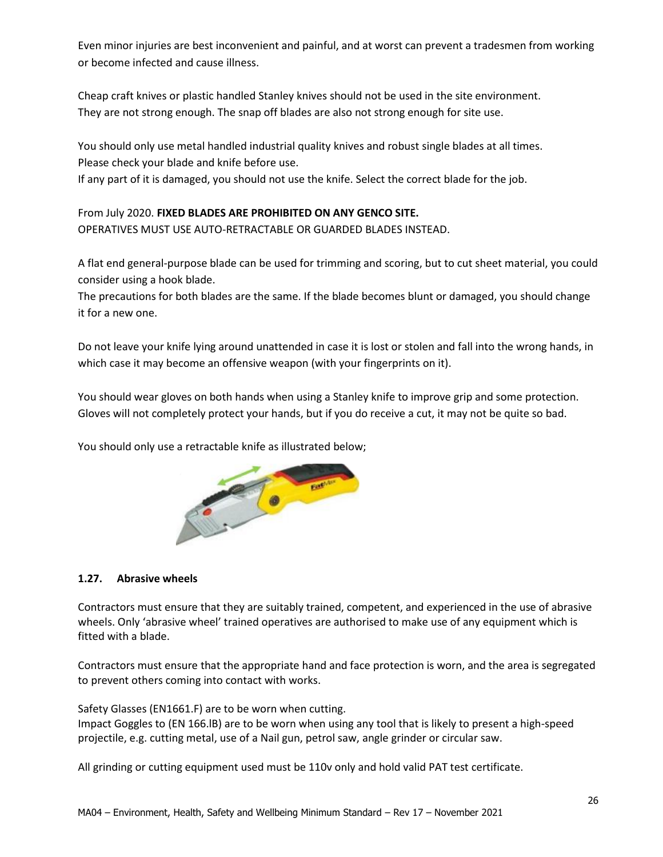Even minor injuries are best inconvenient and painful, and at worst can prevent a tradesmen from working or become infected and cause illness.

Cheap craft knives or plastic handled Stanley knives should not be used in the site environment. They are not strong enough. The snap off blades are also not strong enough for site use.

You should only use metal handled industrial quality knives and robust single blades at all times. Please check your blade and knife before use.

If any part of it is damaged, you should not use the knife. Select the correct blade for the job.

From July 2020. **FIXED BLADES ARE PROHIBITED ON ANY GENCO SITE.** OPERATIVES MUST USE AUTO-RETRACTABLE OR GUARDED BLADES INSTEAD.

A flat end general-purpose blade can be used for trimming and scoring, but to cut sheet material, you could consider using a hook blade.

The precautions for both blades are the same. If the blade becomes blunt or damaged, you should change it for a new one.

Do not leave your knife lying around unattended in case it is lost or stolen and fall into the wrong hands, in which case it may become an offensive weapon (with your fingerprints on it).

You should wear gloves on both hands when using a Stanley knife to improve grip and some protection. Gloves will not completely protect your hands, but if you do receive a cut, it may not be quite so bad.

You should only use a retractable knife as illustrated below;



## **1.27. Abrasive wheels**

Contractors must ensure that they are suitably trained, competent, and experienced in the use of abrasive wheels. Only 'abrasive wheel' trained operatives are authorised to make use of any equipment which is fitted with a blade.

Contractors must ensure that the appropriate hand and face protection is worn, and the area is segregated to prevent others coming into contact with works.

Safety Glasses (EN1661.F) are to be worn when cutting. Impact Goggles to (EN 166.lB) are to be worn when using any tool that is likely to present a high-speed projectile, e.g. cutting metal, use of a Nail gun, petrol saw, angle grinder or circular saw.

All grinding or cutting equipment used must be 110v only and hold valid PAT test certificate.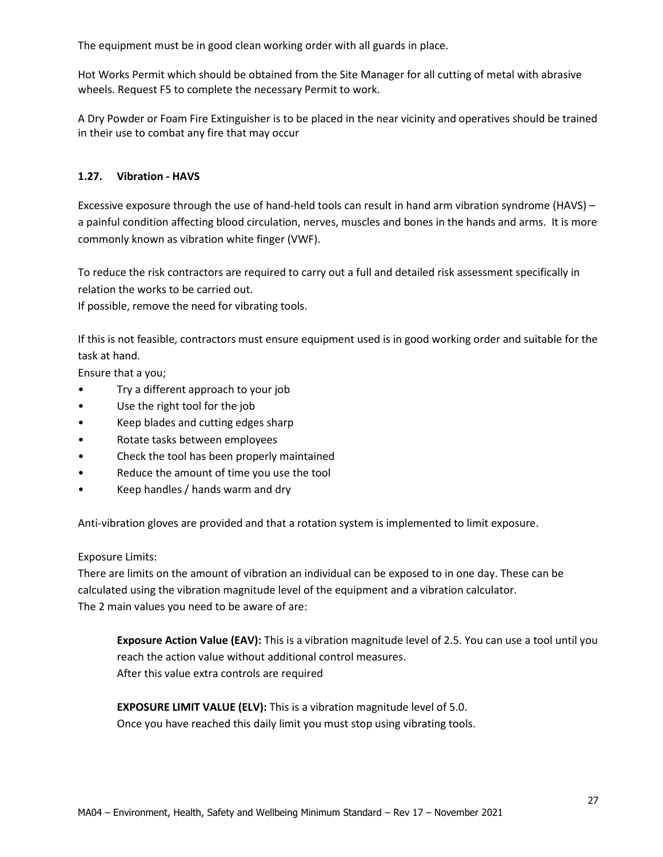The equipment must be in good clean working order with all guards in place.

Hot Works Permit which should be obtained from the Site Manager for all cutting of metal with abrasive wheels. Request F5 to complete the necessary Permit to work.

A Dry Powder or Foam Fire Extinguisher is to be placed in the near vicinity and operatives should be trained in their use to combat any fire that may occur

## **1.27. Vibration - HAVS**

Excessive exposure through the use of hand-held tools can result in hand arm vibration syndrome (HAVS) – a painful condition affecting blood circulation, nerves, muscles and bones in the hands and arms. It is more commonly known as vibration white finger (VWF).

To reduce the risk contractors are required to carry out a full and detailed risk assessment specifically in relation the works to be carried out.

If possible, remove the need for vibrating tools.

If this is not feasible, contractors must ensure equipment used is in good working order and suitable for the task at hand.

Ensure that a you;

- Try a different approach to your job
- Use the right tool for the job
- Keep blades and cutting edges sharp
- Rotate tasks between employees
- Check the tool has been properly maintained
- Reduce the amount of time you use the tool
- Keep handles / hands warm and dry

Anti-vibration gloves are provided and that a rotation system is implemented to limit exposure.

## Exposure Limits:

There are limits on the amount of vibration an individual can be exposed to in one day. These can be calculated using the vibration magnitude level of the equipment and a vibration calculator. The 2 main values you need to be aware of are:

**Exposure Action Value (EAV):** This is a vibration magnitude level of 2.5. You can use a tool until you reach the action value without additional control measures. After this value extra controls are required

**EXPOSURE LIMIT VALUE (ELV):** This is a vibration magnitude level of 5.0. Once you have reached this daily limit you must stop using vibrating tools.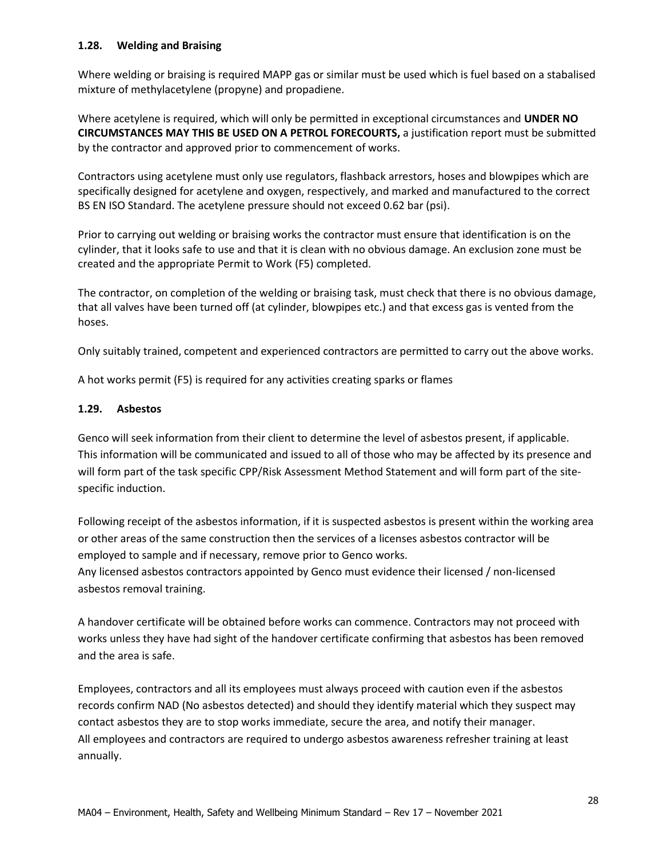## **1.28. Welding and Braising**

Where welding or braising is required MAPP gas or similar must be used which is fuel based on a stabalised mixture of methylacetylene (propyne) and propadiene.

Where acetylene is required, which will only be permitted in exceptional circumstances and **UNDER NO CIRCUMSTANCES MAY THIS BE USED ON A PETROL FORECOURTS,** a justification report must be submitted by the contractor and approved prior to commencement of works.

Contractors using acetylene must only use regulators, flashback arrestors, hoses and blowpipes which are specifically designed for acetylene and oxygen, respectively, and marked and manufactured to the correct BS EN ISO Standard. The acetylene pressure should not exceed 0.62 bar (psi).

Prior to carrying out welding or braising works the contractor must ensure that identification is on the cylinder, that it looks safe to use and that it is clean with no obvious damage. An exclusion zone must be created and the appropriate Permit to Work (F5) completed.

The contractor, on completion of the welding or braising task, must check that there is no obvious damage, that all valves have been turned off (at cylinder, blowpipes etc.) and that excess gas is vented from the hoses.

Only suitably trained, competent and experienced contractors are permitted to carry out the above works.

A hot works permit (F5) is required for any activities creating sparks or flames

#### **1.29. Asbestos**

Genco will seek information from their client to determine the level of asbestos present, if applicable. This information will be communicated and issued to all of those who may be affected by its presence and will form part of the task specific CPP/Risk Assessment Method Statement and will form part of the sitespecific induction.

Following receipt of the asbestos information, if it is suspected asbestos is present within the working area or other areas of the same construction then the services of a licenses asbestos contractor will be employed to sample and if necessary, remove prior to Genco works. Any licensed asbestos contractors appointed by Genco must evidence their licensed / non-licensed asbestos removal training.

A handover certificate will be obtained before works can commence. Contractors may not proceed with works unless they have had sight of the handover certificate confirming that asbestos has been removed and the area is safe.

Employees, contractors and all its employees must always proceed with caution even if the asbestos records confirm NAD (No asbestos detected) and should they identify material which they suspect may contact asbestos they are to stop works immediate, secure the area, and notify their manager. All employees and contractors are required to undergo asbestos awareness refresher training at least annually.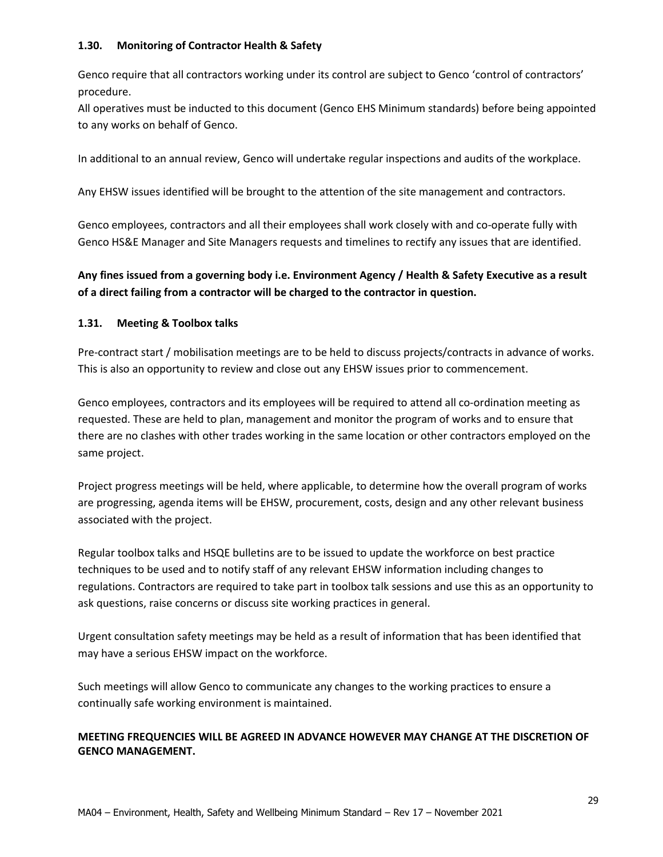## **1.30. Monitoring of Contractor Health & Safety**

Genco require that all contractors working under its control are subject to Genco 'control of contractors' procedure.

All operatives must be inducted to this document (Genco EHS Minimum standards) before being appointed to any works on behalf of Genco.

In additional to an annual review, Genco will undertake regular inspections and audits of the workplace.

Any EHSW issues identified will be brought to the attention of the site management and contractors.

Genco employees, contractors and all their employees shall work closely with and co-operate fully with Genco HS&E Manager and Site Managers requests and timelines to rectify any issues that are identified.

## **Any fines issued from a governing body i.e. Environment Agency / Health & Safety Executive as a result of a direct failing from a contractor will be charged to the contractor in question.**

## **1.31. Meeting & Toolbox talks**

Pre-contract start / mobilisation meetings are to be held to discuss projects/contracts in advance of works. This is also an opportunity to review and close out any EHSW issues prior to commencement.

Genco employees, contractors and its employees will be required to attend all co-ordination meeting as requested. These are held to plan, management and monitor the program of works and to ensure that there are no clashes with other trades working in the same location or other contractors employed on the same project.

Project progress meetings will be held, where applicable, to determine how the overall program of works are progressing, agenda items will be EHSW, procurement, costs, design and any other relevant business associated with the project.

Regular toolbox talks and HSQE bulletins are to be issued to update the workforce on best practice techniques to be used and to notify staff of any relevant EHSW information including changes to regulations. Contractors are required to take part in toolbox talk sessions and use this as an opportunity to ask questions, raise concerns or discuss site working practices in general.

Urgent consultation safety meetings may be held as a result of information that has been identified that may have a serious EHSW impact on the workforce.

Such meetings will allow Genco to communicate any changes to the working practices to ensure a continually safe working environment is maintained.

## **MEETING FREQUENCIES WILL BE AGREED IN ADVANCE HOWEVER MAY CHANGE AT THE DISCRETION OF GENCO MANAGEMENT.**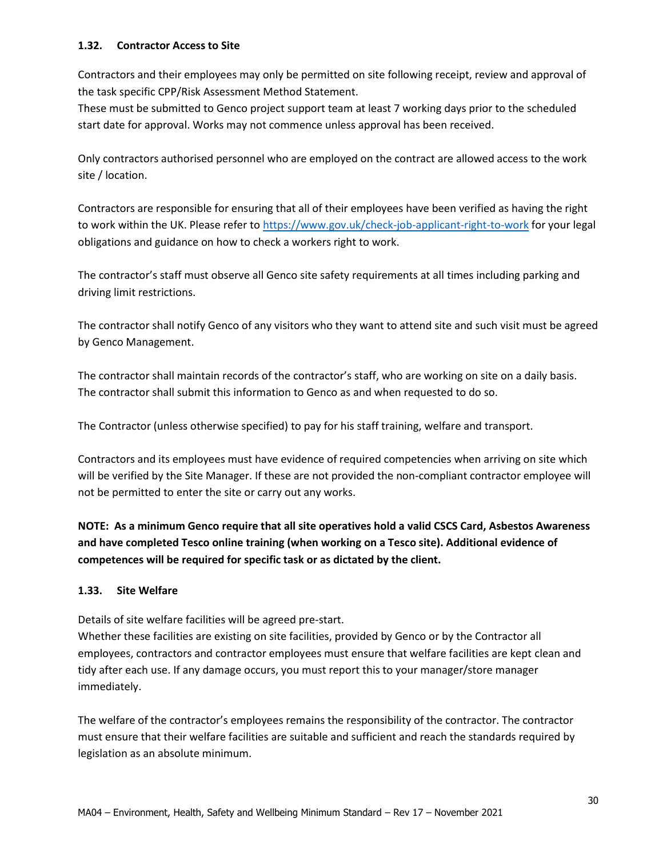## **1.32. Contractor Access to Site**

Contractors and their employees may only be permitted on site following receipt, review and approval of the task specific CPP/Risk Assessment Method Statement.

These must be submitted to Genco project support team at least 7 working days prior to the scheduled start date for approval. Works may not commence unless approval has been received.

Only contractors authorised personnel who are employed on the contract are allowed access to the work site / location.

Contractors are responsible for ensuring that all of their employees have been verified as having the right to work within the UK. Please refer t[o https://www.gov.uk/check-job-applicant-right-to-work](https://www.gov.uk/check-job-applicant-right-to-work) for your legal obligations and guidance on how to check a workers right to work.

The contractor's staff must observe all Genco site safety requirements at all times including parking and driving limit restrictions.

The contractor shall notify Genco of any visitors who they want to attend site and such visit must be agreed by Genco Management.

The contractor shall maintain records of the contractor's staff, who are working on site on a daily basis. The contractor shall submit this information to Genco as and when requested to do so.

The Contractor (unless otherwise specified) to pay for his staff training, welfare and transport.

Contractors and its employees must have evidence of required competencies when arriving on site which will be verified by the Site Manager. If these are not provided the non-compliant contractor employee will not be permitted to enter the site or carry out any works.

**NOTE: As a minimum Genco require that all site operatives hold a valid CSCS Card, Asbestos Awareness and have completed Tesco online training (when working on a Tesco site). Additional evidence of competences will be required for specific task or as dictated by the client.** 

## **1.33. Site Welfare**

Details of site welfare facilities will be agreed pre-start.

Whether these facilities are existing on site facilities, provided by Genco or by the Contractor all employees, contractors and contractor employees must ensure that welfare facilities are kept clean and tidy after each use. If any damage occurs, you must report this to your manager/store manager immediately.

The welfare of the contractor's employees remains the responsibility of the contractor. The contractor must ensure that their welfare facilities are suitable and sufficient and reach the standards required by legislation as an absolute minimum.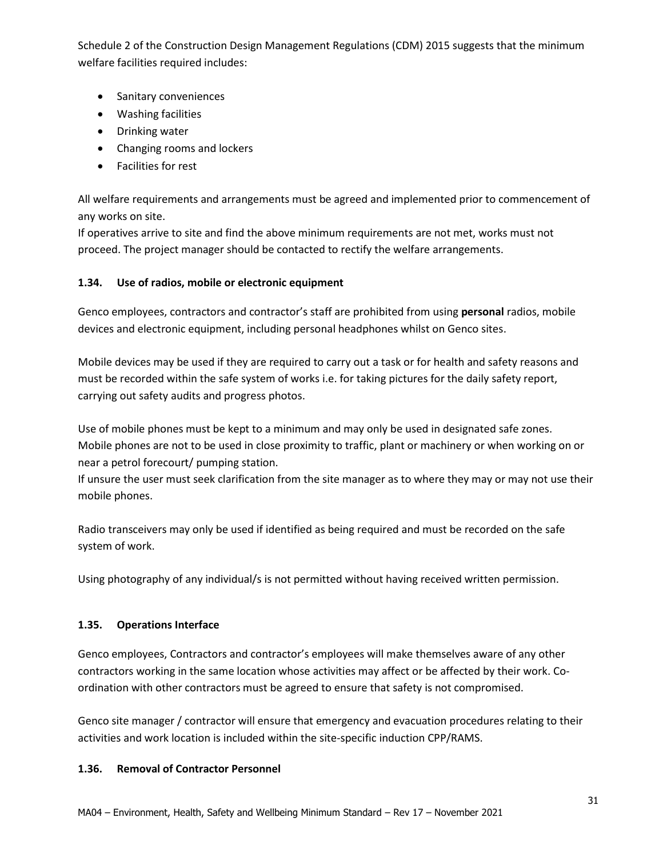Schedule 2 of the Construction Design Management Regulations (CDM) 2015 suggests that the minimum welfare facilities required includes:

- Sanitary conveniences
- Washing facilities
- Drinking water
- Changing rooms and lockers
- Facilities for rest

All welfare requirements and arrangements must be agreed and implemented prior to commencement of any works on site.

If operatives arrive to site and find the above minimum requirements are not met, works must not proceed. The project manager should be contacted to rectify the welfare arrangements.

## **1.34. Use of radios, mobile or electronic equipment**

Genco employees, contractors and contractor's staff are prohibited from using **personal** radios, mobile devices and electronic equipment, including personal headphones whilst on Genco sites.

Mobile devices may be used if they are required to carry out a task or for health and safety reasons and must be recorded within the safe system of works i.e. for taking pictures for the daily safety report, carrying out safety audits and progress photos.

Use of mobile phones must be kept to a minimum and may only be used in designated safe zones. Mobile phones are not to be used in close proximity to traffic, plant or machinery or when working on or near a petrol forecourt/ pumping station.

If unsure the user must seek clarification from the site manager as to where they may or may not use their mobile phones.

Radio transceivers may only be used if identified as being required and must be recorded on the safe system of work.

Using photography of any individual/s is not permitted without having received written permission.

## **1.35. Operations Interface**

Genco employees, Contractors and contractor's employees will make themselves aware of any other contractors working in the same location whose activities may affect or be affected by their work. Coordination with other contractors must be agreed to ensure that safety is not compromised.

Genco site manager / contractor will ensure that emergency and evacuation procedures relating to their activities and work location is included within the site-specific induction CPP/RAMS.

## **1.36. Removal of Contractor Personnel**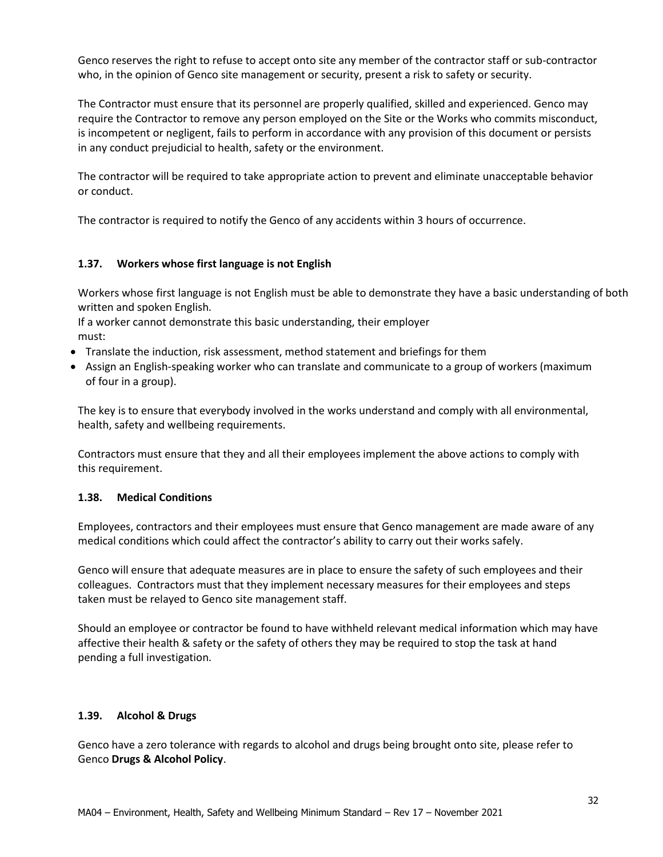Genco reserves the right to refuse to accept onto site any member of the contractor staff or sub-contractor who, in the opinion of Genco site management or security, present a risk to safety or security.

The Contractor must ensure that its personnel are properly qualified, skilled and experienced. Genco may require the Contractor to remove any person employed on the Site or the Works who commits misconduct, is incompetent or negligent, fails to perform in accordance with any provision of this document or persists in any conduct prejudicial to health, safety or the environment.

The contractor will be required to take appropriate action to prevent and eliminate unacceptable behavior or conduct.

The contractor is required to notify the Genco of any accidents within 3 hours of occurrence.

## **1.37. Workers whose first language is not English**

Workers whose first language is not English must be able to demonstrate they have a basic understanding of both written and spoken English.

If a worker cannot demonstrate this basic understanding, their employer must:

- Translate the induction, risk assessment, method statement and briefings for them
- Assign an English-speaking worker who can translate and communicate to a group of workers (maximum of four in a group).

The key is to ensure that everybody involved in the works understand and comply with all environmental, health, safety and wellbeing requirements.

Contractors must ensure that they and all their employees implement the above actions to comply with this requirement.

## **1.38. Medical Conditions**

Employees, contractors and their employees must ensure that Genco management are made aware of any medical conditions which could affect the contractor's ability to carry out their works safely.

Genco will ensure that adequate measures are in place to ensure the safety of such employees and their colleagues. Contractors must that they implement necessary measures for their employees and steps taken must be relayed to Genco site management staff.

Should an employee or contractor be found to have withheld relevant medical information which may have affective their health & safety or the safety of others they may be required to stop the task at hand pending a full investigation.

## **1.39. Alcohol & Drugs**

Genco have a zero tolerance with regards to alcohol and drugs being brought onto site, please refer to Genco **Drugs & Alcohol Policy**.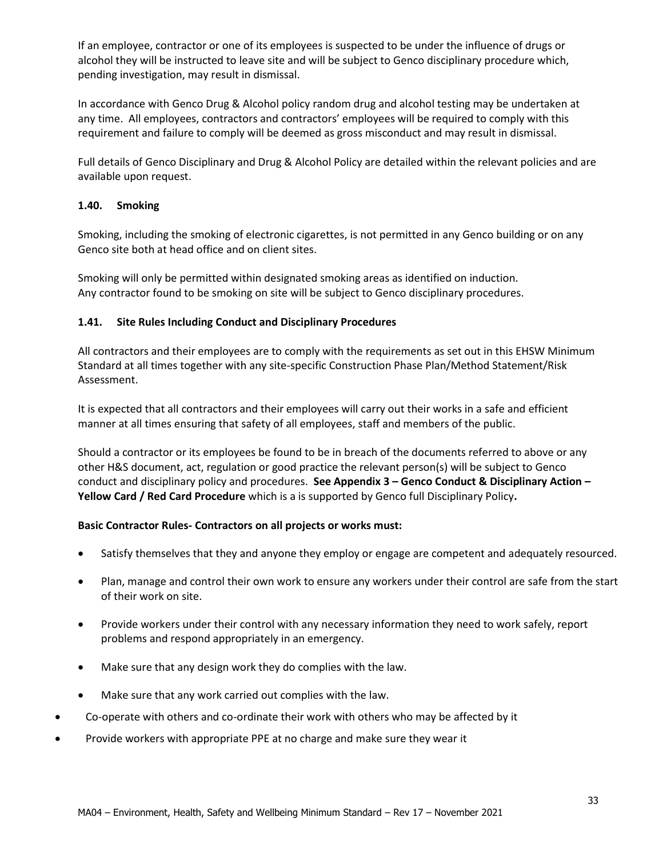If an employee, contractor or one of its employees is suspected to be under the influence of drugs or alcohol they will be instructed to leave site and will be subject to Genco disciplinary procedure which, pending investigation, may result in dismissal.

In accordance with Genco Drug & Alcohol policy random drug and alcohol testing may be undertaken at any time. All employees, contractors and contractors' employees will be required to comply with this requirement and failure to comply will be deemed as gross misconduct and may result in dismissal.

Full details of Genco Disciplinary and Drug & Alcohol Policy are detailed within the relevant policies and are available upon request.

## **1.40. Smoking**

Smoking, including the smoking of electronic cigarettes, is not permitted in any Genco building or on any Genco site both at head office and on client sites.

Smoking will only be permitted within designated smoking areas as identified on induction. Any contractor found to be smoking on site will be subject to Genco disciplinary procedures.

## **1.41. Site Rules Including Conduct and Disciplinary Procedures**

All contractors and their employees are to comply with the requirements as set out in this EHSW Minimum Standard at all times together with any site-specific Construction Phase Plan/Method Statement/Risk Assessment.

It is expected that all contractors and their employees will carry out their works in a safe and efficient manner at all times ensuring that safety of all employees, staff and members of the public.

Should a contractor or its employees be found to be in breach of the documents referred to above or any other H&S document, act, regulation or good practice the relevant person(s) will be subject to Genco conduct and disciplinary policy and procedures. **See Appendix 3 – Genco Conduct & Disciplinary Action – Yellow Card / Red Card Procedure** which is a is supported by Genco full Disciplinary Policy**.** 

## **Basic Contractor Rules- Contractors on all projects or works must:**

- Satisfy themselves that they and anyone they employ or engage are competent and adequately resourced.
- Plan, manage and control their own work to ensure any workers under their control are safe from the start of their work on site.
- Provide workers under their control with any necessary information they need to work safely, report problems and respond appropriately in an emergency.
- Make sure that any design work they do complies with the law.
- Make sure that any work carried out complies with the law.
- Co-operate with others and co-ordinate their work with others who may be affected by it
- Provide workers with appropriate PPE at no charge and make sure they wear it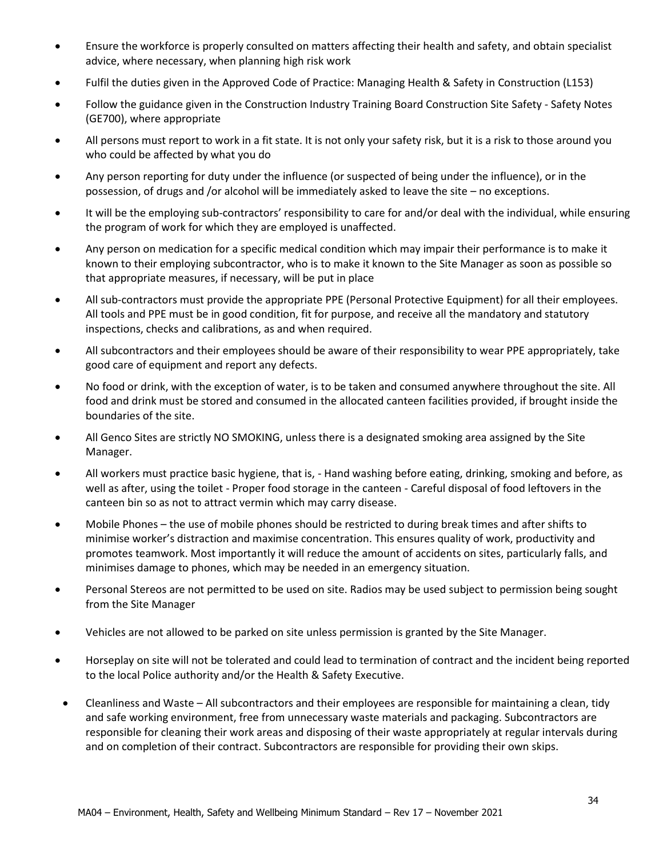- Ensure the workforce is properly consulted on matters affecting their health and safety, and obtain specialist advice, where necessary, when planning high risk work
- Fulfil the duties given in the Approved Code of Practice: Managing Health & Safety in Construction (L153)
- Follow the guidance given in the Construction Industry Training Board Construction Site Safety Safety Notes (GE700), where appropriate
- All persons must report to work in a fit state. It is not only your safety risk, but it is a risk to those around you who could be affected by what you do
- Any person reporting for duty under the influence (or suspected of being under the influence), or in the possession, of drugs and /or alcohol will be immediately asked to leave the site – no exceptions.
- It will be the employing sub-contractors' responsibility to care for and/or deal with the individual, while ensuring the program of work for which they are employed is unaffected.
- Any person on medication for a specific medical condition which may impair their performance is to make it known to their employing subcontractor, who is to make it known to the Site Manager as soon as possible so that appropriate measures, if necessary, will be put in place
- All sub-contractors must provide the appropriate PPE (Personal Protective Equipment) for all their employees. All tools and PPE must be in good condition, fit for purpose, and receive all the mandatory and statutory inspections, checks and calibrations, as and when required.
- All subcontractors and their employees should be aware of their responsibility to wear PPE appropriately, take good care of equipment and report any defects.
- No food or drink, with the exception of water, is to be taken and consumed anywhere throughout the site. All food and drink must be stored and consumed in the allocated canteen facilities provided, if brought inside the boundaries of the site.
- All Genco Sites are strictly NO SMOKING, unless there is a designated smoking area assigned by the Site Manager.
- All workers must practice basic hygiene, that is, Hand washing before eating, drinking, smoking and before, as well as after, using the toilet - Proper food storage in the canteen - Careful disposal of food leftovers in the canteen bin so as not to attract vermin which may carry disease.
- Mobile Phones the use of mobile phones should be restricted to during break times and after shifts to minimise worker's distraction and maximise concentration. This ensures quality of work, productivity and promotes teamwork. Most importantly it will reduce the amount of accidents on sites, particularly falls, and minimises damage to phones, which may be needed in an emergency situation.
- Personal Stereos are not permitted to be used on site. Radios may be used subject to permission being sought from the Site Manager
- Vehicles are not allowed to be parked on site unless permission is granted by the Site Manager.
- Horseplay on site will not be tolerated and could lead to termination of contract and the incident being reported to the local Police authority and/or the Health & Safety Executive.
- Cleanliness and Waste All subcontractors and their employees are responsible for maintaining a clean, tidy and safe working environment, free from unnecessary waste materials and packaging. Subcontractors are responsible for cleaning their work areas and disposing of their waste appropriately at regular intervals during and on completion of their contract. Subcontractors are responsible for providing their own skips.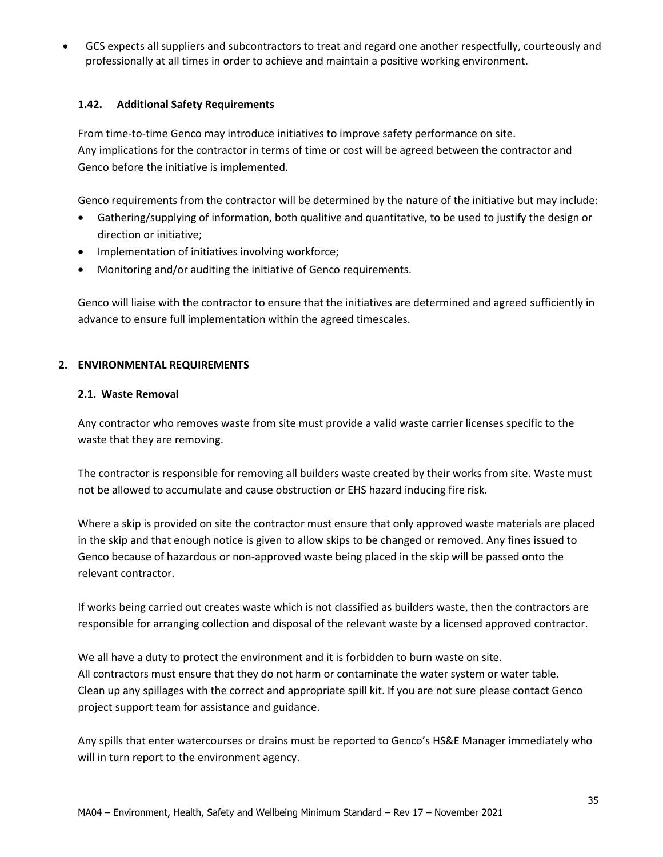• GCS expects all suppliers and subcontractors to treat and regard one another respectfully, courteously and professionally at all times in order to achieve and maintain a positive working environment.

## **1.42. Additional Safety Requirements**

From time-to-time Genco may introduce initiatives to improve safety performance on site. Any implications for the contractor in terms of time or cost will be agreed between the contractor and Genco before the initiative is implemented.

Genco requirements from the contractor will be determined by the nature of the initiative but may include:

- Gathering/supplying of information, both qualitive and quantitative, to be used to justify the design or direction or initiative;
- Implementation of initiatives involving workforce;
- Monitoring and/or auditing the initiative of Genco requirements.

Genco will liaise with the contractor to ensure that the initiatives are determined and agreed sufficiently in advance to ensure full implementation within the agreed timescales.

## **2. ENVIRONMENTAL REQUIREMENTS**

#### **2.1. Waste Removal**

Any contractor who removes waste from site must provide a valid waste carrier licenses specific to the waste that they are removing.

The contractor is responsible for removing all builders waste created by their works from site. Waste must not be allowed to accumulate and cause obstruction or EHS hazard inducing fire risk.

Where a skip is provided on site the contractor must ensure that only approved waste materials are placed in the skip and that enough notice is given to allow skips to be changed or removed. Any fines issued to Genco because of hazardous or non-approved waste being placed in the skip will be passed onto the relevant contractor.

If works being carried out creates waste which is not classified as builders waste, then the contractors are responsible for arranging collection and disposal of the relevant waste by a licensed approved contractor.

We all have a duty to protect the environment and it is forbidden to burn waste on site. All contractors must ensure that they do not harm or contaminate the water system or water table. Clean up any spillages with the correct and appropriate spill kit. If you are not sure please contact Genco project support team for assistance and guidance.

Any spills that enter watercourses or drains must be reported to Genco's HS&E Manager immediately who will in turn report to the environment agency.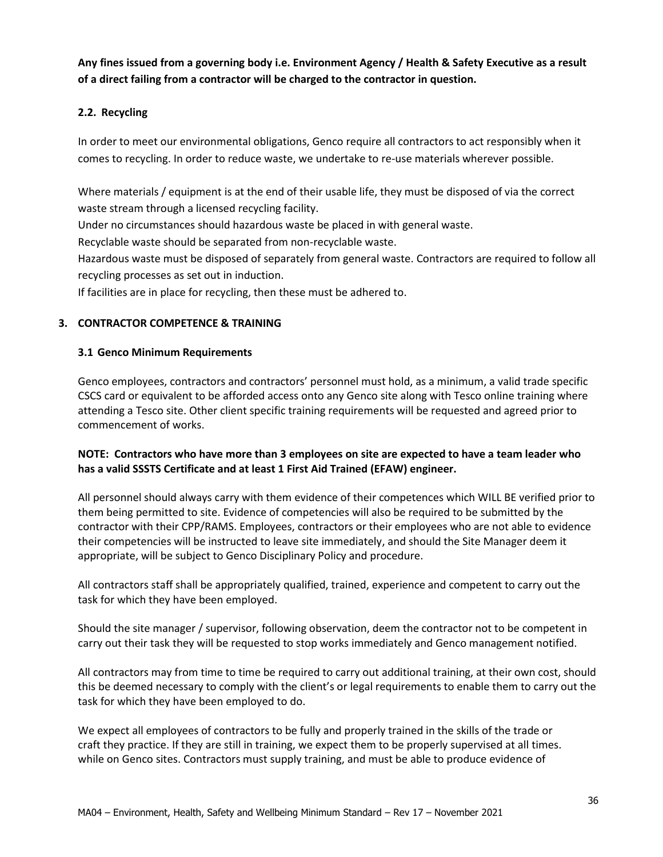**Any fines issued from a governing body i.e. Environment Agency / Health & Safety Executive as a result of a direct failing from a contractor will be charged to the contractor in question.**

## **2.2. Recycling**

In order to meet our environmental obligations, Genco require all contractors to act responsibly when it comes to recycling. In order to reduce waste, we undertake to re-use materials wherever possible.

Where materials / equipment is at the end of their usable life, they must be disposed of via the correct waste stream through a licensed recycling facility.

Under no circumstances should hazardous waste be placed in with general waste.

Recyclable waste should be separated from non-recyclable waste.

Hazardous waste must be disposed of separately from general waste. Contractors are required to follow all recycling processes as set out in induction.

If facilities are in place for recycling, then these must be adhered to.

## **3. CONTRACTOR COMPETENCE & TRAINING**

## **3.1 Genco Minimum Requirements**

Genco employees, contractors and contractors' personnel must hold, as a minimum, a valid trade specific CSCS card or equivalent to be afforded access onto any Genco site along with Tesco online training where attending a Tesco site. Other client specific training requirements will be requested and agreed prior to commencement of works.

## **NOTE: Contractors who have more than 3 employees on site are expected to have a team leader who has a valid SSSTS Certificate and at least 1 First Aid Trained (EFAW) engineer.**

All personnel should always carry with them evidence of their competences which WILL BE verified prior to them being permitted to site. Evidence of competencies will also be required to be submitted by the contractor with their CPP/RAMS. Employees, contractors or their employees who are not able to evidence their competencies will be instructed to leave site immediately, and should the Site Manager deem it appropriate, will be subject to Genco Disciplinary Policy and procedure.

All contractors staff shall be appropriately qualified, trained, experience and competent to carry out the task for which they have been employed.

Should the site manager / supervisor, following observation, deem the contractor not to be competent in carry out their task they will be requested to stop works immediately and Genco management notified.

All contractors may from time to time be required to carry out additional training, at their own cost, should this be deemed necessary to comply with the client's or legal requirements to enable them to carry out the task for which they have been employed to do.

We expect all employees of contractors to be fully and properly trained in the skills of the trade or craft they practice. If they are still in training, we expect them to be properly supervised at all times. while on Genco sites. Contractors must supply training, and must be able to produce evidence of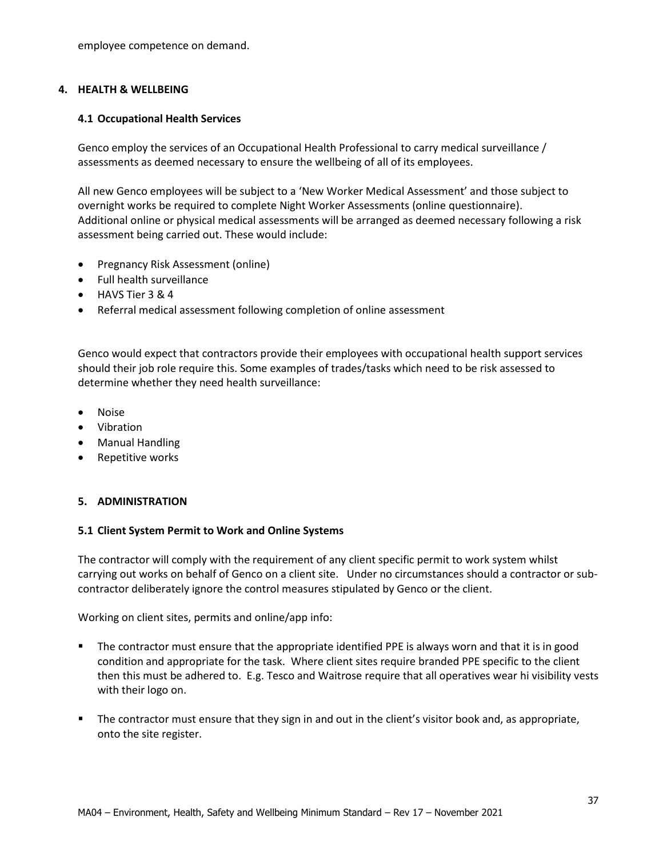employee competence on demand.

#### **4. HEALTH & WELLBEING**

#### **4.1 Occupational Health Services**

Genco employ the services of an Occupational Health Professional to carry medical surveillance / assessments as deemed necessary to ensure the wellbeing of all of its employees.

All new Genco employees will be subject to a 'New Worker Medical Assessment' and those subject to overnight works be required to complete Night Worker Assessments (online questionnaire). Additional online or physical medical assessments will be arranged as deemed necessary following a risk assessment being carried out. These would include:

- Pregnancy Risk Assessment (online)
- Full health surveillance
- HAVS Tier 3 & 4
- Referral medical assessment following completion of online assessment

Genco would expect that contractors provide their employees with occupational health support services should their job role require this. Some examples of trades/tasks which need to be risk assessed to determine whether they need health surveillance:

- Noise
- Vibration
- Manual Handling
- Repetitive works

#### **5. ADMINISTRATION**

#### **5.1 Client System Permit to Work and Online Systems**

The contractor will comply with the requirement of any client specific permit to work system whilst carrying out works on behalf of Genco on a client site. Under no circumstances should a contractor or subcontractor deliberately ignore the control measures stipulated by Genco or the client.

Working on client sites, permits and online/app info:

- The contractor must ensure that the appropriate identified PPE is always worn and that it is in good condition and appropriate for the task. Where client sites require branded PPE specific to the client then this must be adhered to. E.g. Tesco and Waitrose require that all operatives wear hi visibility vests with their logo on.
- The contractor must ensure that they sign in and out in the client's visitor book and, as appropriate, onto the site register.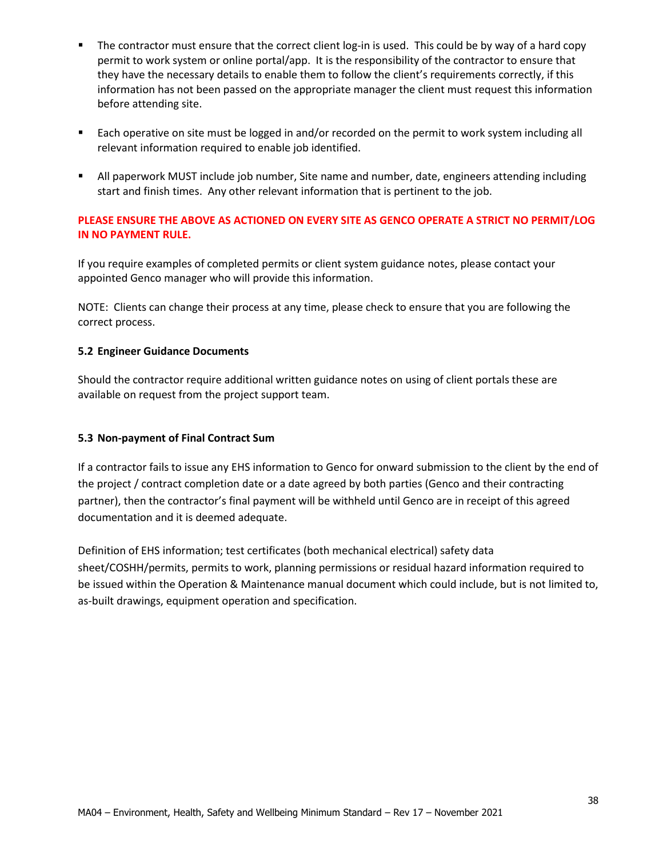- The contractor must ensure that the correct client log-in is used. This could be by way of a hard copy permit to work system or online portal/app. It is the responsibility of the contractor to ensure that they have the necessary details to enable them to follow the client's requirements correctly, if this information has not been passed on the appropriate manager the client must request this information before attending site.
- Each operative on site must be logged in and/or recorded on the permit to work system including all relevant information required to enable job identified.
- All paperwork MUST include job number, Site name and number, date, engineers attending including start and finish times. Any other relevant information that is pertinent to the job.

## **PLEASE ENSURE THE ABOVE AS ACTIONED ON EVERY SITE AS GENCO OPERATE A STRICT NO PERMIT/LOG IN NO PAYMENT RULE.**

If you require examples of completed permits or client system guidance notes, please contact your appointed Genco manager who will provide this information.

NOTE: Clients can change their process at any time, please check to ensure that you are following the correct process.

## **5.2 Engineer Guidance Documents**

Should the contractor require additional written guidance notes on using of client portals these are available on request from the project support team.

## **5.3 Non-payment of Final Contract Sum**

If a contractor fails to issue any EHS information to Genco for onward submission to the client by the end of the project / contract completion date or a date agreed by both parties (Genco and their contracting partner), then the contractor's final payment will be withheld until Genco are in receipt of this agreed documentation and it is deemed adequate.

Definition of EHS information; test certificates (both mechanical electrical) safety data sheet/COSHH/permits, permits to work, planning permissions or residual hazard information required to be issued within the Operation & Maintenance manual document which could include, but is not limited to, as-built drawings, equipment operation and specification.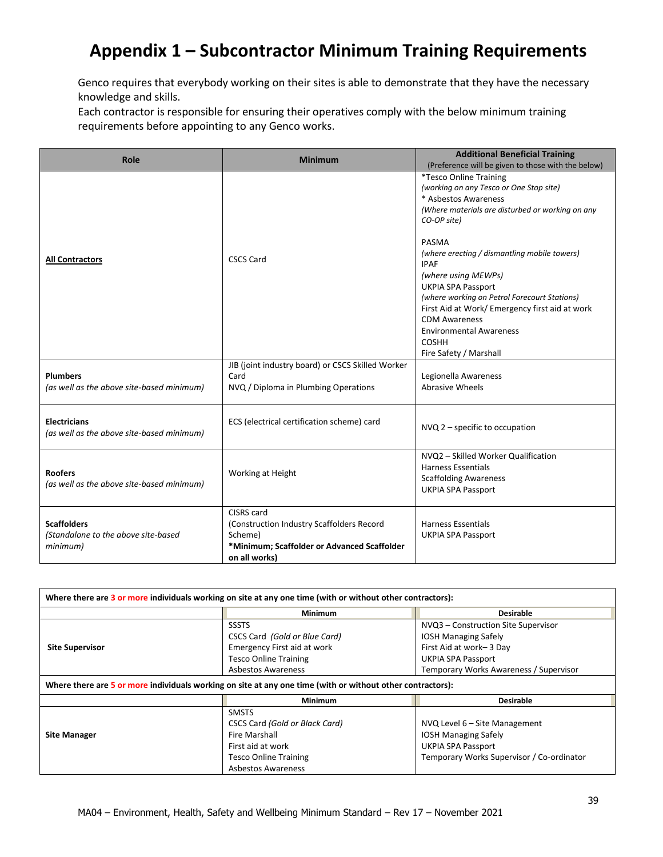## **Appendix 1 – Subcontractor Minimum Training Requirements**

Genco requires that everybody working on their sites is able to demonstrate that they have the necessary knowledge and skills.

Each contractor is responsible for ensuring their operatives comply with the below minimum training requirements before appointing to any Genco works.

| Role                                                                  | <b>Minimum</b>                                                                                                                     | <b>Additional Beneficial Training</b><br>(Preference will be given to those with the below)                                                                                                                                                                                                                                                                                                                                                                                             |
|-----------------------------------------------------------------------|------------------------------------------------------------------------------------------------------------------------------------|-----------------------------------------------------------------------------------------------------------------------------------------------------------------------------------------------------------------------------------------------------------------------------------------------------------------------------------------------------------------------------------------------------------------------------------------------------------------------------------------|
| <b>All Contractors</b>                                                | <b>CSCS Card</b>                                                                                                                   | *Tesco Online Training<br>(working on any Tesco or One Stop site)<br>* Asbestos Awareness<br>(Where materials are disturbed or working on any<br>CO-OP site)<br>PASMA<br>(where erecting / dismantling mobile towers)<br><b>IPAF</b><br>(where using MEWPs)<br><b>UKPIA SPA Passport</b><br>(where working on Petrol Forecourt Stations)<br>First Aid at Work/ Emergency first aid at work<br><b>CDM Awareness</b><br><b>Environmental Awareness</b><br>COSHH<br>Fire Safety / Marshall |
| <b>Plumbers</b><br>(as well as the above site-based minimum)          | JIB (joint industry board) or CSCS Skilled Worker<br>Card<br>NVQ / Diploma in Plumbing Operations                                  | Legionella Awareness<br>Abrasive Wheels                                                                                                                                                                                                                                                                                                                                                                                                                                                 |
| <b>Electricians</b><br>(as well as the above site-based minimum)      | ECS (electrical certification scheme) card                                                                                         | $NVO$ , $2$ – specific to occupation                                                                                                                                                                                                                                                                                                                                                                                                                                                    |
| <b>Roofers</b><br>(as well as the above site-based minimum)           | Working at Height                                                                                                                  | NVQ2 - Skilled Worker Qualification<br><b>Harness Essentials</b><br><b>Scaffolding Awareness</b><br><b>UKPIA SPA Passport</b>                                                                                                                                                                                                                                                                                                                                                           |
| <b>Scaffolders</b><br>(Standalone to the above site-based<br>minimum) | CISRS card<br>(Construction Industry Scaffolders Record<br>Scheme)<br>*Minimum; Scaffolder or Advanced Scaffolder<br>on all works) | <b>Harness Essentials</b><br><b>UKPIA SPA Passport</b>                                                                                                                                                                                                                                                                                                                                                                                                                                  |

| Where there are 3 or more individuals working on site at any one time (with or without other contractors): |                                |                                           |  |  |
|------------------------------------------------------------------------------------------------------------|--------------------------------|-------------------------------------------|--|--|
|                                                                                                            | <b>Minimum</b>                 | <b>Desirable</b>                          |  |  |
|                                                                                                            | <b>SSSTS</b>                   | NVQ3 - Construction Site Supervisor       |  |  |
|                                                                                                            | CSCS Card (Gold or Blue Card)  | <b>IOSH Managing Safely</b>               |  |  |
| <b>Site Supervisor</b>                                                                                     | Emergency First aid at work    | First Aid at work-3 Day                   |  |  |
|                                                                                                            | <b>Tesco Online Training</b>   | UKPIA SPA Passport                        |  |  |
|                                                                                                            | <b>Asbestos Awareness</b>      | Temporary Works Awareness / Supervisor    |  |  |
| Where there are 5 or more individuals working on site at any one time (with or without other contractors): |                                |                                           |  |  |
|                                                                                                            | <b>Minimum</b>                 | <b>Desirable</b>                          |  |  |
|                                                                                                            | <b>SMSTS</b>                   |                                           |  |  |
|                                                                                                            | CSCS Card (Gold or Black Card) | NVQ Level 6 – Site Management             |  |  |
| <b>Site Manager</b>                                                                                        | Fire Marshall                  | <b>IOSH Managing Safely</b>               |  |  |
|                                                                                                            | First aid at work              | UKPIA SPA Passport                        |  |  |
|                                                                                                            | <b>Tesco Online Training</b>   | Temporary Works Supervisor / Co-ordinator |  |  |
|                                                                                                            | <b>Asbestos Awareness</b>      |                                           |  |  |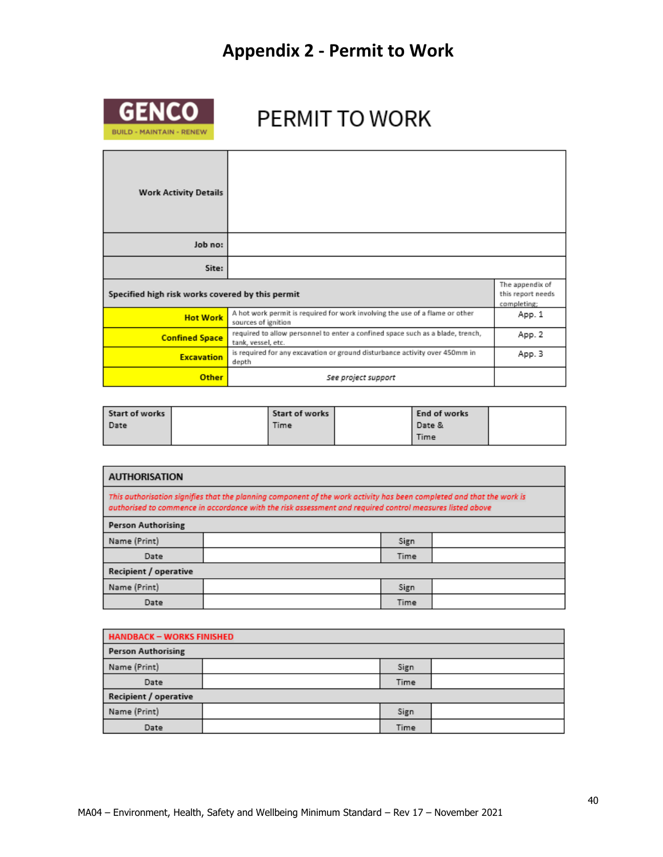## **Appendix 2 - Permit to Work**



# PERMIT TO WORK

| <b>Work Activity Details</b>                     |                                                                                                      |                                                     |
|--------------------------------------------------|------------------------------------------------------------------------------------------------------|-----------------------------------------------------|
| Job no:                                          |                                                                                                      |                                                     |
| Site:                                            |                                                                                                      |                                                     |
| Specified high risk works covered by this permit |                                                                                                      | The appendix of<br>this report needs<br>completing; |
| <b>Hot Work</b>                                  | A hot work permit is required for work involving the use of a flame or other<br>sources of ignition  | App. 1                                              |
| <b>Confined Space</b>                            | required to allow personnel to enter a confined space such as a blade, trench,<br>tank, vessel, etc. | App. 2                                              |
| <b>Excavation</b>                                | is required for any excavation or ground disturbance activity over 450mm in<br>depth                 | App. 3                                              |
| <b>Other</b>                                     | See project support                                                                                  |                                                     |

| Start of works | Start of works | End of works |  |
|----------------|----------------|--------------|--|
| Date           | Time           | l Date &     |  |
|                |                | Time         |  |

| <b>AUTHORISATION</b>                                                                                                                                                                                                              |  |      |  |
|-----------------------------------------------------------------------------------------------------------------------------------------------------------------------------------------------------------------------------------|--|------|--|
| This authorisation signifies that the planning component of the work activity has been completed and that the work is<br>authorised to commence in accordance with the risk assessment and required control measures listed above |  |      |  |
| <b>Person Authorising</b>                                                                                                                                                                                                         |  |      |  |
| Name (Print)                                                                                                                                                                                                                      |  | Sign |  |
| Date                                                                                                                                                                                                                              |  | Time |  |
| Recipient / operative                                                                                                                                                                                                             |  |      |  |
| Name (Print)                                                                                                                                                                                                                      |  | Sign |  |
| Date                                                                                                                                                                                                                              |  | Time |  |

| <b>HANDBACK - WORKS FINISHED</b> |  |      |  |
|----------------------------------|--|------|--|
| <b>Person Authorising</b>        |  |      |  |
| Name (Print)                     |  | Sign |  |
| Date                             |  | Time |  |
| Recipient / operative            |  |      |  |
| Name (Print)                     |  | Sign |  |
| Date                             |  | Time |  |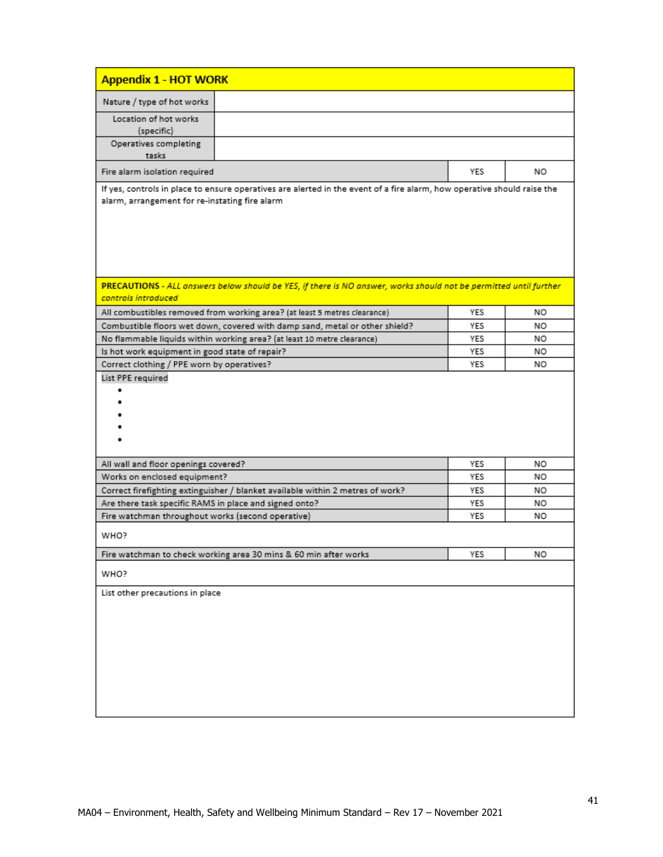| <b>Appendix 1 - HOT WORK</b>                                                                                                                                              |     |    |
|---------------------------------------------------------------------------------------------------------------------------------------------------------------------------|-----|----|
| Nature / type of hot works                                                                                                                                                |     |    |
| Location of hot works<br>(specific)                                                                                                                                       |     |    |
| Operatives completing<br>tasks                                                                                                                                            |     |    |
| Fire alarm isolation required                                                                                                                                             | YES | NO |
| If yes, controls in place to ensure operatives are alerted in the event of a fire alarm, how operative should raise the<br>alarm, arrangement for re-instating fire alarm |     |    |
| PRECAUTIONS - ALL answers below should be YES, if there is NO answer, works should not be permitted until further<br>controls introduced                                  |     |    |
| All combustibles removed from working area? (at least 5 metres clearance)                                                                                                 | YES | NO |
| Combustible floors wet down, covered with damp sand, metal or other shield?                                                                                               | YES | NO |
| No flammable liquids within working area? (at least 10 metre clearance)                                                                                                   | YES | NO |
| Is hot work equipment in good state of repair?                                                                                                                            | YES | NO |
| Correct clothing / PPE worn by operatives?                                                                                                                                | YES | NO |
|                                                                                                                                                                           |     |    |
| All wall and floor openings covered?                                                                                                                                      | YES | NΟ |
| Works on enclosed equipment?                                                                                                                                              | YES | NO |
| Correct firefighting extinguisher / blanket available within 2 metres of work?                                                                                            | YES | NO |
| Are there task specific RAMS in place and signed onto?                                                                                                                    | YES | NO |
| Fire watchman throughout works (second operative)                                                                                                                         | YES | NO |
| WHO?                                                                                                                                                                      |     |    |
| Fire watchman to check working area 30 mins & 60 min after works                                                                                                          | YES | NO |
| WHO?                                                                                                                                                                      |     |    |
| List other precautions in place                                                                                                                                           |     |    |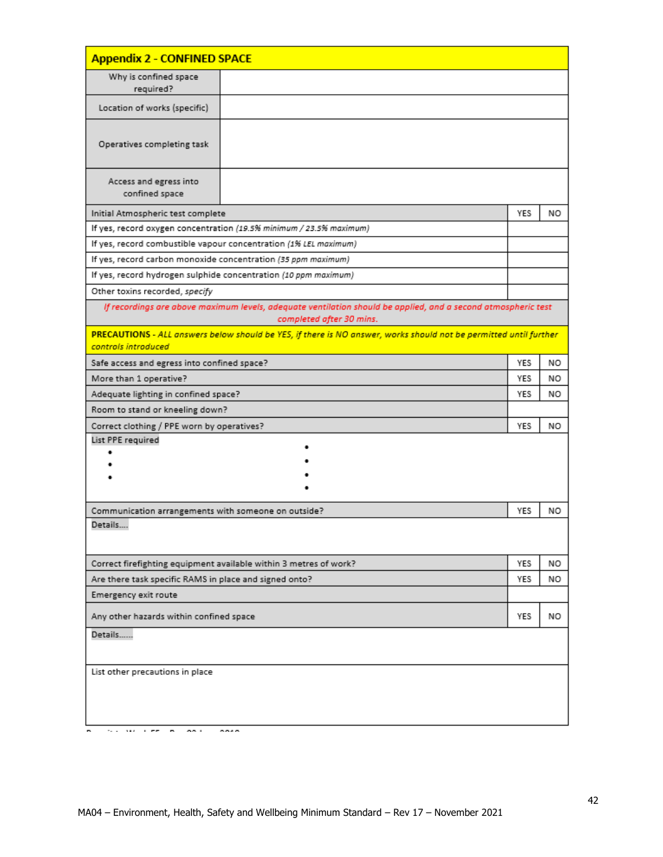| <b>Appendix 2 - CONFINED SPACE</b>                            |                                                                                                                                           |            |    |
|---------------------------------------------------------------|-------------------------------------------------------------------------------------------------------------------------------------------|------------|----|
| Why is confined space<br>required?                            |                                                                                                                                           |            |    |
| Location of works (specific)                                  |                                                                                                                                           |            |    |
| Operatives completing task                                    |                                                                                                                                           |            |    |
| Access and egress into<br>confined space                      |                                                                                                                                           |            |    |
| Initial Atmospheric test complete                             |                                                                                                                                           | YES        | NO |
|                                                               | If yes, record oxygen concentration (19.5% minimum / 23.5% maximum)                                                                       |            |    |
|                                                               | If yes, record combustible vapour concentration (1% LEL maximum)                                                                          |            |    |
| If yes, record carbon monoxide concentration (35 ppm maximum) |                                                                                                                                           |            |    |
|                                                               | If yes, record hydrogen sulphide concentration (10 ppm maximum)                                                                           |            |    |
| Other toxins recorded, specify                                |                                                                                                                                           |            |    |
|                                                               | If recordings are above maximum levels, adequate ventilation should be applied, and a second atmospheric test<br>completed after 30 mins. |            |    |
| controls introduced                                           | PRECAUTIONS - ALL answers below should be YES, if there is NO answer, works should not be permitted until further                         |            |    |
| Safe access and egress into confined space?                   |                                                                                                                                           | YES        | NO |
| More than 1 operative?                                        |                                                                                                                                           | YES        | NO |
| Adequate lighting in confined space?                          |                                                                                                                                           |            | NO |
| Room to stand or kneeling down?                               |                                                                                                                                           |            |    |
| Correct clothing / PPE worn by operatives?                    |                                                                                                                                           | <b>YES</b> | NO |
| List PPE required                                             |                                                                                                                                           |            |    |
|                                                               |                                                                                                                                           |            |    |
|                                                               |                                                                                                                                           |            |    |
|                                                               |                                                                                                                                           |            |    |
| Communication arrangements with someone on outside?           |                                                                                                                                           | YES        | NO |
| Details                                                       |                                                                                                                                           |            |    |
|                                                               | Correct firefighting equipment available within 3 metres of work?                                                                         | YES        | NO |
| Are there task specific RAMS in place and signed onto?        |                                                                                                                                           | YES        | NO |
| Emergency exit route                                          |                                                                                                                                           |            |    |
| Any other hazards within confined space                       |                                                                                                                                           | YES        | NO |
| Details                                                       |                                                                                                                                           |            |    |
| List other precautions in place                               |                                                                                                                                           |            |    |
| on a<br>the company of the company<br>×.                      | 884 B                                                                                                                                     |            |    |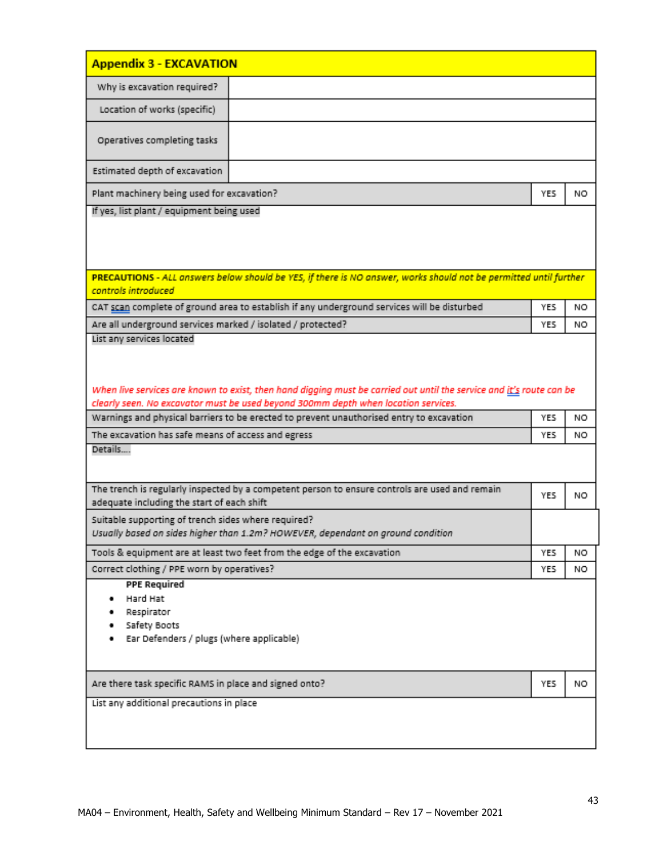| <b>Appendix 3 - EXCAVATION</b>                                                                                                                                                                                                                                                                         |            |    |  |  |
|--------------------------------------------------------------------------------------------------------------------------------------------------------------------------------------------------------------------------------------------------------------------------------------------------------|------------|----|--|--|
| Why is excavation required?                                                                                                                                                                                                                                                                            |            |    |  |  |
| Location of works (specific)                                                                                                                                                                                                                                                                           |            |    |  |  |
| Operatives completing tasks                                                                                                                                                                                                                                                                            |            |    |  |  |
| Estimated depth of excavation                                                                                                                                                                                                                                                                          |            |    |  |  |
| Plant machinery being used for excavation?                                                                                                                                                                                                                                                             | YES        | NO |  |  |
| If yes, list plant / equipment being used                                                                                                                                                                                                                                                              |            |    |  |  |
| PRECAUTIONS - ALL answers below should be YES, if there is NO answer, works should not be permitted until further<br>controls introduced                                                                                                                                                               |            |    |  |  |
| CAT scan complete of ground area to establish if any underground services will be disturbed                                                                                                                                                                                                            | <b>YES</b> | NO |  |  |
| Are all underground services marked / isolated / protected?<br>List any services located                                                                                                                                                                                                               | YES        | NO |  |  |
| When live services are known to exist, then hand digging must be carried out until the service and it's route can be<br>clearly seen. No excavator must be used beyond 300mm depth when location services.<br>Warnings and physical barriers to be erected to prevent unauthorised entry to excavation | YES        | NO |  |  |
| The excavation has safe means of access and egress                                                                                                                                                                                                                                                     | YES.       | NO |  |  |
| Details                                                                                                                                                                                                                                                                                                |            |    |  |  |
| The trench is regularly inspected by a competent person to ensure controls are used and remain<br>adequate including the start of each shift                                                                                                                                                           | YES        | NO |  |  |
| Suitable supporting of trench sides where required?<br>Usually based on sides higher than 1.2m? HOWEVER, dependant on ground condition                                                                                                                                                                 |            |    |  |  |
| Tools & equipment are at least two feet from the edge of the excavation                                                                                                                                                                                                                                | YES        | NO |  |  |
| Correct clothing / PPE worn by operatives?                                                                                                                                                                                                                                                             | YES        | NO |  |  |
| <b>PPE Required</b><br>Hard Hat<br>Respirator<br>Safety Boots<br>Ear Defenders / plugs (where applicable)                                                                                                                                                                                              |            |    |  |  |
| Are there task specific RAMS in place and signed onto?                                                                                                                                                                                                                                                 | YES.       | NO |  |  |
| List any additional precautions in place                                                                                                                                                                                                                                                               |            |    |  |  |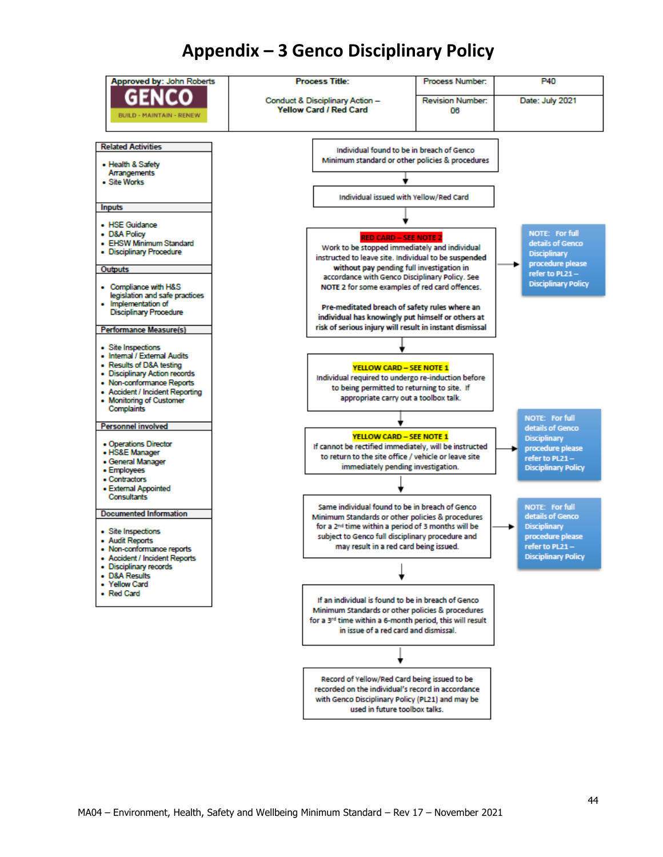## **Appendix – 3 Genco Disciplinary Policy**

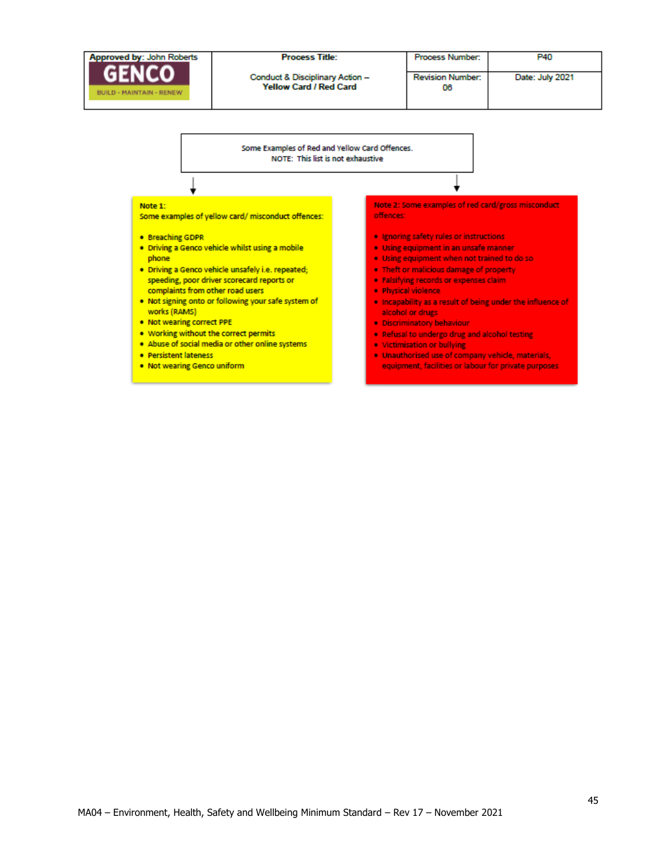

. Not wearing Genco uniform

MA04 – Environment, Health, Safety and Wellbeing Minimum Standard – Rev 1 7 – November 202 1